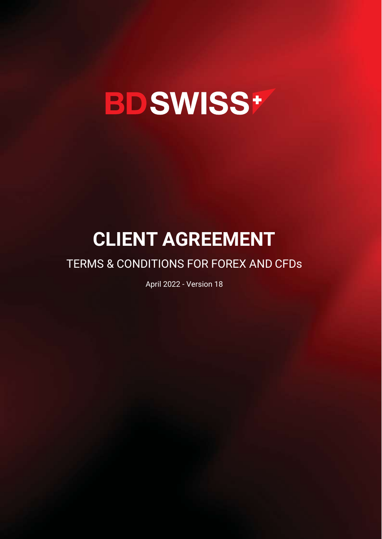# **BDSWISS+**

# **CLIENT AGREEMENT**

# TERMS & CONDITIONS FOR FOREX AND CFDs

April 2022 - Version 18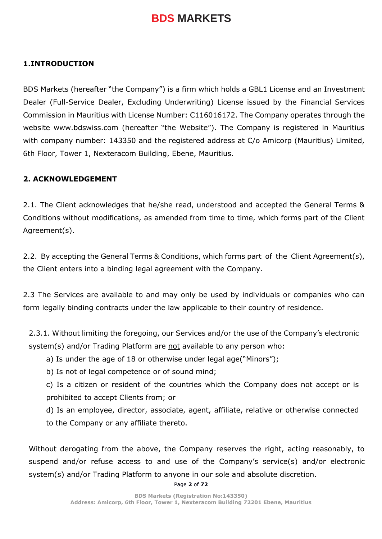#### **1.INTRODUCTION**

BDS Markets (hereafter "the Company") is a firm which holds a GBL1 License and an Investment Dealer (Full-Service Dealer, Excluding Underwriting) License issued by the Financial Services Commission in Mauritius with License Number: C116016172. The Company operates through the website www.bdswiss.com (hereafter "the Website"). The Company is registered in Mauritius with company number: 143350 and the registered address at C/o Amicorp (Mauritius) Limited, 6th Floor, Tower 1, Nexteracom Building, Ebene, Mauritius.

#### **2. ACKNOWLEDGEMENT**

2.1. The Client acknowledges that he/she read, understood and accepted the General Terms & Conditions without modifications, as amended from time to time, which forms part of the Client Agreement(s).

2.2. By accepting the General Terms & Conditions, which forms part of the Client Agreement(s), the Client enters into a binding legal agreement with the Company.

2.3 The Services are available to and may only be used by individuals or companies who can form legally binding contracts under the law applicable to their country of residence.

2.3.1. Without limiting the foregoing, our Services and/or the use of the Company's electronic system(s) and/or Trading Platform are not available to any person who:

a) Is under the age of 18 or otherwise under legal age("Minors");

b) Is not of legal competence or of sound mind;

c) Is a citizen or resident of the countries which the Company does not accept or is prohibited to accept Clients from; or

d) Is an employee, director, associate, agent, affiliate, relative or otherwise connected to the Company or any affiliate thereto.

Without derogating from the above, the Company reserves the right, acting reasonably, to suspend and/or refuse access to and use of the Company's service(s) and/or electronic system(s) and/or Trading Platform to anyone in our sole and absolute discretion.

Page **2** of **72**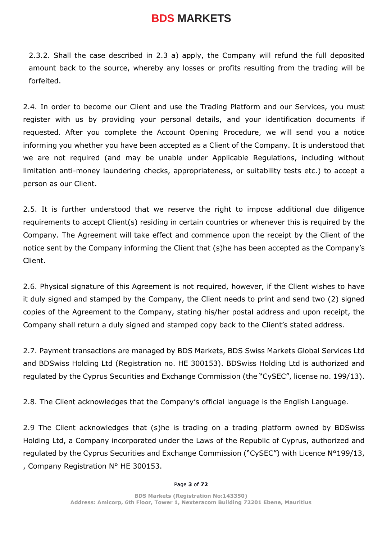2.3.2. Shall the case described in 2.3 a) apply, the Company will refund the full deposited amount back to the source, whereby any losses or profits resulting from the trading will be forfeited.

2.4. In order to become our Client and use the Trading Platform and our Services, you must register with us by providing your personal details, and your identification documents if requested. After you complete the Account Opening Procedure, we will send you a notice informing you whether you have been accepted as a Client of the Company. It is understood that we are not required (and may be unable under Applicable Regulations, including without limitation anti-money laundering checks, appropriateness, or suitability tests etc.) to accept a person as our Client.

2.5. It is further understood that we reserve the right to impose additional due diligence requirements to accept Client(s) residing in certain countries or whenever this is required by the Company. The Agreement will take effect and commence upon the receipt by the Client of the notice sent by the Company informing the Client that (s)he has been accepted as the Company's Client.

2.6. Physical signature of this Agreement is not required, however, if the Client wishes to have it duly signed and stamped by the Company, the Client needs to print and send two (2) signed copies of the Agreement to the Company, stating his/her postal address and upon receipt, the Company shall return a duly signed and stamped copy back to the Client's stated address.

2.7. Payment transactions are managed by BDS Markets, BDS Swiss Markets Global Services Ltd and BDSwiss Holding Ltd (Registration no. HE 300153). BDSwiss Holding Ltd is authorized and regulated by the Cyprus Securities and Exchange Commission (the "CySEC", license no. 199/13).

2.8. The Client acknowledges that the Company's official language is the English Language.

2.9 The Client acknowledges that (s)he is trading on a trading platform owned by BDSwiss Holding Ltd, a Company incorporated under the Laws of the Republic of Cyprus, authorized and regulated by the Cyprus Securities and Exchange Commission ("CySEC") with Licence N°199/13, , Company Registration N° HE 300153.

#### Page **3** of **72**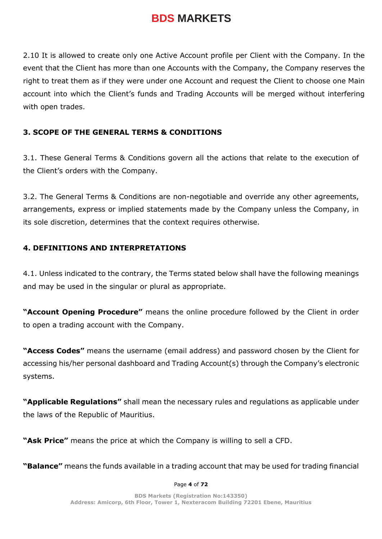2.10 It is allowed to create only one Active Account profile per Client with the Company. In the event that the Client has more than one Accounts with the Company, the Company reserves the right to treat them as if they were under one Account and request the Client to choose one Main account into which the Client's funds and Trading Accounts will be merged without interfering with open trades.

## **3. SCOPE OF THE GENERAL TERMS & CONDITIONS**

3.1. These General Terms & Conditions govern all the actions that relate to the execution of the Client's orders with the Company.

3.2. The General Terms & Conditions are non-negotiable and override any other agreements, arrangements, express or implied statements made by the Company unless the Company, in its sole discretion, determines that the context requires otherwise.

## **4. DEFINITIONS AND INTERPRETATIONS**

4.1. Unless indicated to the contrary, the Terms stated below shall have the following meanings and may be used in the singular or plural as appropriate.

**"Account Opening Procedure"** means the online procedure followed by the Client in order to open a trading account with the Company.

**"Access Codes"** means the username (email address) and password chosen by the Client for accessing his/her personal dashboard and Trading Account(s) through the Company's electronic systems.

**"Applicable Regulations"** shall mean the necessary rules and regulations as applicable under the laws of the Republic of Mauritius.

**"Ask Price"** means the price at which the Company is willing to sell a CFD.

**"Balance"** means the funds available in a trading account that may be used for trading financial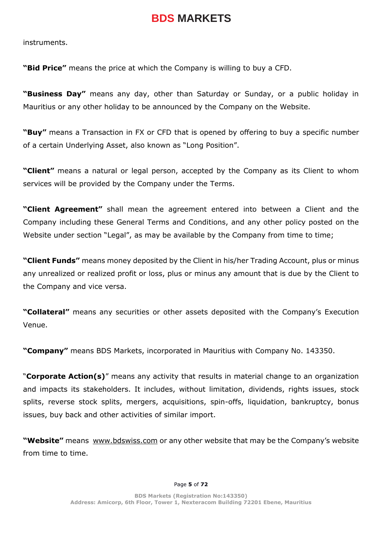instruments.

**"Bid Price"** means the price at which the Company is willing to buy a CFD.

**"Business Day"** means any day, other than Saturday or Sunday, or a public holiday in Mauritius or any other holiday to be announced by the Company on the Website.

**"Buy"** means a Transaction in FX or CFD that is opened by offering to buy a specific number of a certain Underlying Asset, also known as "Long Position".

**"Client"** means a natural or legal person, accepted by the Company as its Client to whom services will be provided by the Company under the Terms.

**"Client Agreement"** shall mean the agreement entered into between a Client and the Company including these General Terms and Conditions, and any other policy posted on the Website under section "Legal", as may be available by the Company from time to time;

**"Client Funds"** means money deposited by the Client in his/her Trading Account, plus or minus any unrealized or realized profit or loss, plus or minus any amount that is due by the Client to the Company and vice versa.

**"Collateral"** means any securities or other assets deposited with the Company's Execution Venue.

**"Company"** means BDS Markets, incorporated in Mauritius with Company No. 143350.

"**Corporate Action(s)**" means any activity that results in material change to an organization and impacts its stakeholders. It includes, without limitation, dividends, rights issues, stock splits, reverse stock splits, mergers, acquisitions, spin-offs, liquidation, bankruptcy, bonus issues, buy back and other activities of similar import.

**"Website"** means [www.bdswiss.com](about:blank) or any other website that may be the Company's website from time to time.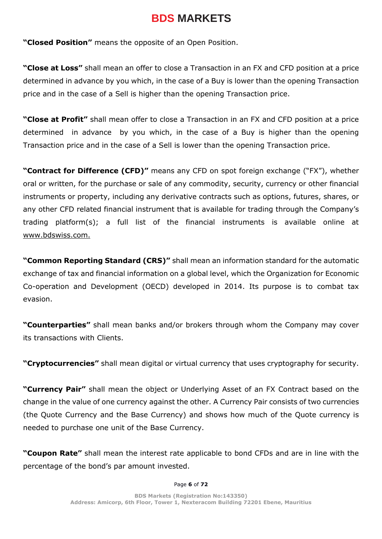**"Closed Position"** means the opposite of an Open Position.

**"Close at Loss"** shall mean an offer to close a Transaction in an FX and CFD position at a price determined in advance by you which, in the case of a Buy is lower than the opening Transaction price and in the case of a Sell is higher than the opening Transaction price.

**"Close at Profit"** shall mean offer to close a Transaction in an FX and CFD position at a price determined in advance by you which, in the case of a Buy is higher than the opening Transaction price and in the case of a Sell is lower than the opening Transaction price.

**"Contract for Difference (CFD)"** means any CFD on spot foreign exchange ("FX"), whether oral or written, for the purchase or sale of any commodity, security, currency or other financial instruments or property, including any derivative contracts such as options, futures, shares, or any other CFD related financial instrument that is available for trading through the Company's trading platform(s); a full list of the financial instruments is available online at [www.bdswiss.com](http://www.bdswiss.com/)[.](http://www.bdswiss.com./)

**"Common Reporting Standard (CRS)"** shall mean an information standard for the automatic exchange of tax and financial information on a global level, which the Organization for Economic Co-operation and Development (OECD) developed in 2014. Its purpose is to combat tax evasion.

**"Counterparties"** shall mean banks and/or brokers through whom the Company may cover its transactions with Clients.

**"Cryptocurrencies"** shall mean digital or virtual currency that uses cryptography for security.

**"Currency Pair"** shall mean the object or Underlying Asset of an FX Contract based on the change in the value of one currency against the other. A Currency Pair consists of two currencies (the Quote Currency and the Base Currency) and shows how much of the Quote currency is needed to purchase one unit of the Base Currency.

**"Coupon Rate"** shall mean the interest rate applicable to bond CFDs and are in line with the percentage of the bond's par amount invested.

#### Page **6** of **72**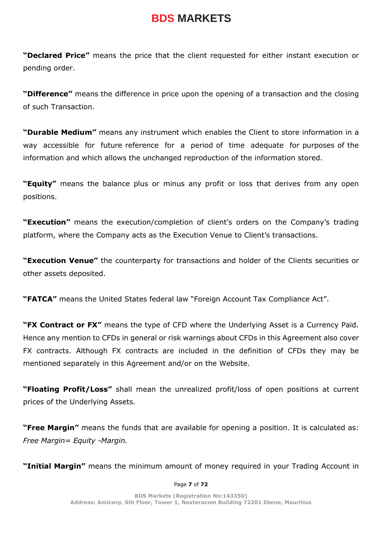**"Declared Price"** means the price that the client requested for either instant execution or pending order.

**"Difference"** means the difference in price upon the opening of a transaction and the closing of such Transaction.

**"Durable Medium"** means any instrument which enables the Client to store information in a way accessible for future reference for a period of time adequate for purposes of the information and which allows the unchanged reproduction of the information stored.

**"Equity"** means the balance plus or minus any profit or loss that derives from any open positions.

**"Execution"** means the execution/completion of client's orders on the Company's trading platform, where the Company acts as the Execution Venue to Client's transactions.

**"Execution Venue"** the counterparty for transactions and holder of the Clients securities or other assets deposited.

**"FATCA"** means the United States federal law "Foreign Account Tax Compliance Act".

**"FX Contract or FX"** means the type of CFD where the Underlying Asset is a Currency Paid. Hence any mention to CFDs in general or risk warnings about CFDs in this Agreement also cover FX contracts. Although FX contracts are included in the definition of CFDs they may be mentioned separately in this Agreement and/or on the Website.

**"Floating Profit/Loss"** shall mean the unrealized profit/loss of open positions at current prices of the Underlying Assets.

**"Free Margin"** means the funds that are available for opening a position. It is calculated as: *Free Margin= Equity -Margin.*

**"Initial Margin"** means the minimum amount of money required in your Trading Account in

Page **7** of **72**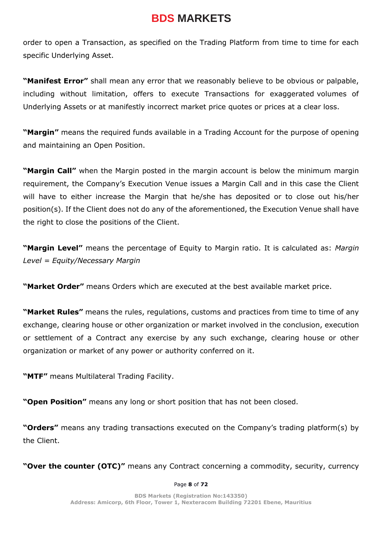order to open a Transaction, as specified on the Trading Platform from time to time for each specific Underlying Asset.

**"Manifest Error"** shall mean any error that we reasonably believe to be obvious or palpable, including without limitation, offers to execute Transactions for exaggerated volumes of Underlying Assets or at manifestly incorrect market price quotes or prices at a clear loss.

**"Margin"** means the required funds available in a Trading Account for the purpose of opening and maintaining an Open Position.

**"Margin Call"** when the Margin posted in the margin account is below the minimum margin requirement, the Company's Execution Venue issues a Margin Call and in this case the Client will have to either increase the Margin that he/she has deposited or to close out his/her position(s). If the Client does not do any of the aforementioned, the Execution Venue shall have the right to close the positions of the Client.

**"Margin Level"** means the percentage of Equity to Margin ratio. It is calculated as: *Margin Level = Equity/Necessary Margin*

**"Market Order"** means Orders which are executed at the best available market price.

**"Market Rules"** means the rules, regulations, customs and practices from time to time of any exchange, clearing house or other organization or market involved in the conclusion, execution or settlement of a Contract any exercise by any such exchange, clearing house or other organization or market of any power or authority conferred on it.

**"MTF"** means Multilateral Trading Facility.

**"Open Position"** means any long or short position that has not been closed.

**"Orders"** means any trading transactions executed on the Company's trading platform(s) by the Client.

**"Over the counter (OTC)"** means any Contract concerning a commodity, security, currency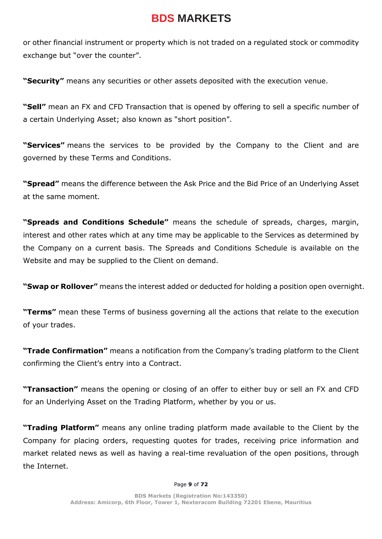or other financial instrument or property which is not traded on a regulated stock or commodity exchange but "over the counter".

**"Security"** means any securities or other assets deposited with the execution venue.

**"Sell"** mean an FX and CFD Transaction that is opened by offering to sell a specific number of a certain Underlying Asset; also known as "short position".

**"Services"** means the services to be provided by the Company to the Client and are governed by these Terms and Conditions.

**"Spread"** means the difference between the Ask Price and the Bid Price of an Underlying Asset at the same moment.

**"Spreads and Conditions Schedule"** means the schedule of spreads, charges, margin, interest and other rates which at any time may be applicable to the Services as determined by the Company on a current basis. The Spreads and Conditions Schedule is available on the Website and may be supplied to the Client on demand.

**"Swap or Rollover"** means the interest added or deducted for holding a position open overnight.

**"Terms"** mean these Terms of business governing all the actions that relate to the execution of your trades.

**"Trade Confirmation"** means a notification from the Company's trading platform to the Client confirming the Client's entry into a Contract.

**"Transaction"** means the opening or closing of an offer to either buy or sell an FX and CFD for an Underlying Asset on the Trading Platform, whether by you or us.

**"Trading Platform"** means any online trading platform made available to the Client by the Company for placing orders, requesting quotes for trades, receiving price information and market related news as well as having a real-time revaluation of the open positions, through the Internet.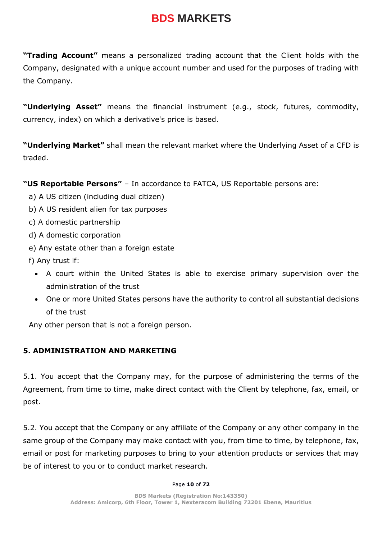**"Trading Account"** means a personalized trading account that the Client holds with the Company, designated with a unique account number and used for the purposes of trading with the Company.

**"Underlying Asset"** means the financial instrument (e.g., stock, futures, commodity, currency, index) on which a derivative's price is based.

**"Underlying Market"** shall mean the relevant market where the Underlying Asset of a CFD is traded.

**"US Reportable Persons"** – In accordance to FATCA, US Reportable persons are:

- a) A US citizen (including dual citizen)
- b) A US resident alien for tax purposes
- c) A domestic partnership
- d) A domestic corporation
- e) Any estate other than a foreign estate
- f) Any trust if:
	- A court within the United States is able to exercise primary supervision over the administration of the trust
	- One or more United States persons have the authority to control all substantial decisions of the trust

Any other person that is not a foreign person.

## **5. ADMINISTRATION AND MARKETING**

5.1. You accept that the Company may, for the purpose of administering the terms of the Agreement, from time to time, make direct contact with the Client by telephone, fax, email, or post.

5.2. You accept that the Company or any affiliate of the Company or any other company in the same group of the Company may make contact with you, from time to time, by telephone, fax, email or post for marketing purposes to bring to your attention products or services that may be of interest to you or to conduct market research.

#### Page **10** of **72**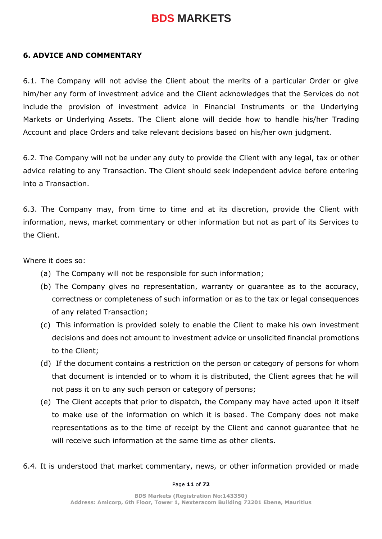### **6. ADVICE AND COMMENTARY**

6.1. The Company will not advise the Client about the merits of a particular Order or give him/her any form of investment advice and the Client acknowledges that the Services do not include the provision of investment advice in Financial Instruments or the Underlying Markets or Underlying Assets. The Client alone will decide how to handle his/her Trading Account and place Orders and take relevant decisions based on his/her own judgment.

6.2. The Company will not be under any duty to provide the Client with any legal, tax or other advice relating to any Transaction. The Client should seek independent advice before entering into a Transaction.

6.3. The Company may, from time to time and at its discretion, provide the Client with information, news, market commentary or other information but not as part of its Services to the Client.

Where it does so:

- (a) The Company will not be responsible for such information;
- (b) The Company gives no representation, warranty or guarantee as to the accuracy, correctness or completeness of such information or as to the tax or legal consequences of any related Transaction;
- (c) This information is provided solely to enable the Client to make his own investment decisions and does not amount to investment advice or unsolicited financial promotions to the Client;
- (d) If the document contains a restriction on the person or category of persons for whom that document is intended or to whom it is distributed, the Client agrees that he will not pass it on to any such person or category of persons;
- (e) The Client accepts that prior to dispatch, the Company may have acted upon it itself to make use of the information on which it is based. The Company does not make representations as to the time of receipt by the Client and cannot guarantee that he will receive such information at the same time as other clients.
- 6.4. It is understood that market commentary, news, or other information provided or made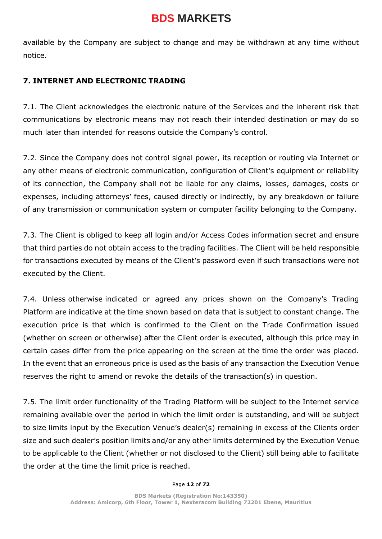available by the Company are subject to change and may be withdrawn at any time without notice.

## **7. INTERNET AND ELECTRONIC TRADING**

7.1. The Client acknowledges the electronic nature of the Services and the inherent risk that communications by electronic means may not reach their intended destination or may do so much later than intended for reasons outside the Company's control.

7.2. Since the Company does not control signal power, its reception or routing via Internet or any other means of electronic communication, configuration of Client's equipment or reliability of its connection, the Company shall not be liable for any claims, losses, damages, costs or expenses, including attorneys' fees, caused directly or indirectly, by any breakdown or failure of any transmission or communication system or computer facility belonging to the Company.

7.3. The Client is obliged to keep all login and/or Access Codes information secret and ensure that third parties do not obtain access to the trading facilities. The Client will be held responsible for transactions executed by means of the Client's password even if such transactions were not executed by the Client.

7.4. Unless otherwise indicated or agreed any prices shown on the Company's Trading Platform are indicative at the time shown based on data that is subject to constant change. The execution price is that which is confirmed to the Client on the Trade Confirmation issued (whether on screen or otherwise) after the Client order is executed, although this price may in certain cases differ from the price appearing on the screen at the time the order was placed. In the event that an erroneous price is used as the basis of any transaction the Execution Venue reserves the right to amend or revoke the details of the transaction(s) in question.

7.5. The limit order functionality of the Trading Platform will be subject to the Internet service remaining available over the period in which the limit order is outstanding, and will be subject to size limits input by the Execution Venue's dealer(s) remaining in excess of the Clients order size and such dealer's position limits and/or any other limits determined by the Execution Venue to be applicable to the Client (whether or not disclosed to the Client) still being able to facilitate the order at the time the limit price is reached.

#### Page **12** of **72**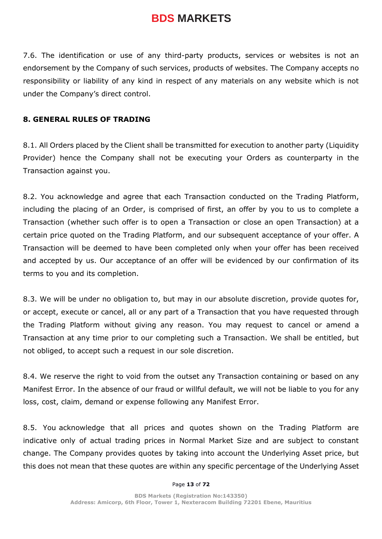7.6. The identification or use of any third-party products, services or websites is not an endorsement by the Company of such services, products of websites. The Company accepts no responsibility or liability of any kind in respect of any materials on any website which is not under the Company's direct control.

#### **8. GENERAL RULES OF TRADING**

8.1. All Orders placed by the Client shall be transmitted for execution to another party (Liquidity Provider) hence the Company shall not be executing your Orders as counterparty in the Transaction against you.

8.2. You acknowledge and agree that each Transaction conducted on the Trading Platform, including the placing of an Order, is comprised of first, an offer by you to us to complete a Transaction (whether such offer is to open a Transaction or close an open Transaction) at a certain price quoted on the Trading Platform, and our subsequent acceptance of your offer. A Transaction will be deemed to have been completed only when your offer has been received and accepted by us. Our acceptance of an offer will be evidenced by our confirmation of its terms to you and its completion.

8.3. We will be under no obligation to, but may in our absolute discretion, provide quotes for, or accept, execute or cancel, all or any part of a Transaction that you have requested through the Trading Platform without giving any reason. You may request to cancel or amend a Transaction at any time prior to our completing such a Transaction. We shall be entitled, but not obliged, to accept such a request in our sole discretion.

8.4. We reserve the right to void from the outset any Transaction containing or based on any Manifest Error. In the absence of our fraud or willful default, we will not be liable to you for any loss, cost, claim, demand or expense following any Manifest Error.

8.5. You acknowledge that all prices and quotes shown on the Trading Platform are indicative only of actual trading prices in Normal Market Size and are subject to constant change. The Company provides quotes by taking into account the Underlying Asset price, but this does not mean that these quotes are within any specific percentage of the Underlying Asset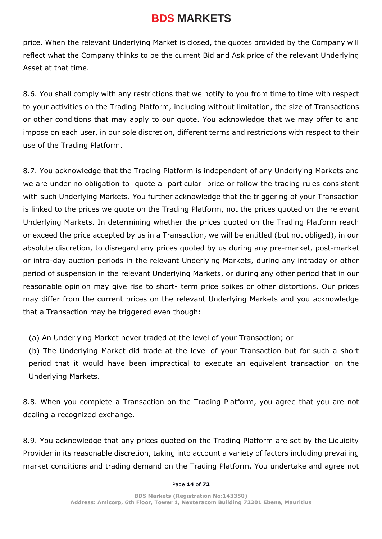price. When the relevant Underlying Market is closed, the quotes provided by the Company will reflect what the Company thinks to be the current Bid and Ask price of the relevant Underlying Asset at that time.

8.6. You shall comply with any restrictions that we notify to you from time to time with respect to your activities on the Trading Platform, including without limitation, the size of Transactions or other conditions that may apply to our quote. You acknowledge that we may offer to and impose on each user, in our sole discretion, different terms and restrictions with respect to their use of the Trading Platform.

8.7. You acknowledge that the Trading Platform is independent of any Underlying Markets and we are under no obligation to quote a particular price or follow the trading rules consistent with such Underlying Markets. You further acknowledge that the triggering of your Transaction is linked to the prices we quote on the Trading Platform, not the prices quoted on the relevant Underlying Markets. In determining whether the prices quoted on the Trading Platform reach or exceed the price accepted by us in a Transaction, we will be entitled (but not obliged), in our absolute discretion, to disregard any prices quoted by us during any pre-market, post-market or intra-day auction periods in the relevant Underlying Markets, during any intraday or other period of suspension in the relevant Underlying Markets, or during any other period that in our reasonable opinion may give rise to short- term price spikes or other distortions. Our prices may differ from the current prices on the relevant Underlying Markets and you acknowledge that a Transaction may be triggered even though:

(a) An Underlying Market never traded at the level of your Transaction; or

(b) The Underlying Market did trade at the level of your Transaction but for such a short period that it would have been impractical to execute an equivalent transaction on the Underlying Markets.

8.8. When you complete a Transaction on the Trading Platform, you agree that you are not dealing a recognized exchange.

8.9. You acknowledge that any prices quoted on the Trading Platform are set by the Liquidity Provider in its reasonable discretion, taking into account a variety of factors including prevailing market conditions and trading demand on the Trading Platform. You undertake and agree not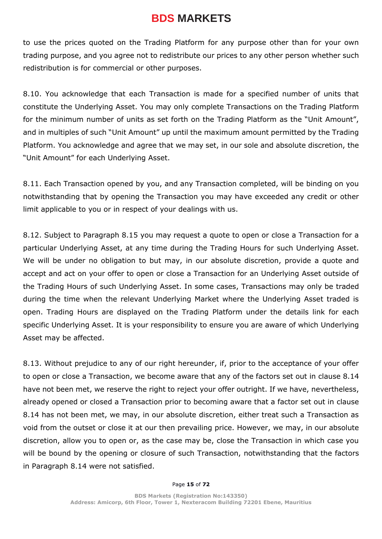to use the prices quoted on the Trading Platform for any purpose other than for your own trading purpose, and you agree not to redistribute our prices to any other person whether such redistribution is for commercial or other purposes.

8.10. You acknowledge that each Transaction is made for a specified number of units that constitute the Underlying Asset. You may only complete Transactions on the Trading Platform for the minimum number of units as set forth on the Trading Platform as the "Unit Amount", and in multiples of such "Unit Amount" up until the maximum amount permitted by the Trading Platform. You acknowledge and agree that we may set, in our sole and absolute discretion, the "Unit Amount" for each Underlying Asset.

8.11. Each Transaction opened by you, and any Transaction completed, will be binding on you notwithstanding that by opening the Transaction you may have exceeded any credit or other limit applicable to you or in respect of your dealings with us.

8.12. Subject to Paragraph 8.15 you may request a quote to open or close a Transaction for a particular Underlying Asset, at any time during the Trading Hours for such Underlying Asset. We will be under no obligation to but may, in our absolute discretion, provide a quote and accept and act on your offer to open or close a Transaction for an Underlying Asset outside of the Trading Hours of such Underlying Asset. In some cases, Transactions may only be traded during the time when the relevant Underlying Market where the Underlying Asset traded is open. Trading Hours are displayed on the Trading Platform under the details link for each specific Underlying Asset. It is your responsibility to ensure you are aware of which Underlying Asset may be affected.

8.13. Without prejudice to any of our right hereunder, if, prior to the acceptance of your offer to open or close a Transaction, we become aware that any of the factors set out in clause 8.14 have not been met, we reserve the right to reject your offer outright. If we have, nevertheless, already opened or closed a Transaction prior to becoming aware that a factor set out in clause 8.14 has not been met, we may, in our absolute discretion, either treat such a Transaction as void from the outset or close it at our then prevailing price. However, we may, in our absolute discretion, allow you to open or, as the case may be, close the Transaction in which case you will be bound by the opening or closure of such Transaction, notwithstanding that the factors in Paragraph 8.14 were not satisfied.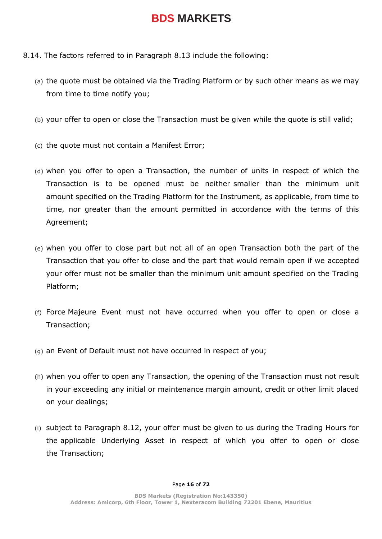- 8.14. The factors referred to in Paragraph 8.13 include the following:
	- (a) the quote must be obtained via the Trading Platform or by such other means as we may from time to time notify you;
	- (b) your offer to open or close the Transaction must be given while the quote is still valid;
	- (c) the quote must not contain a Manifest Error;
	- (d) when you offer to open a Transaction, the number of units in respect of which the Transaction is to be opened must be neither smaller than the minimum unit amount specified on the Trading Platform for the Instrument, as applicable, from time to time, nor greater than the amount permitted in accordance with the terms of this Agreement;
	- (e) when you offer to close part but not all of an open Transaction both the part of the Transaction that you offer to close and the part that would remain open if we accepted your offer must not be smaller than the minimum unit amount specified on the Trading Platform;
	- (f) Force Majeure Event must not have occurred when you offer to open or close a Transaction;
	- (g) an Event of Default must not have occurred in respect of you;
	- (h) when you offer to open any Transaction, the opening of the Transaction must not result in your exceeding any initial or maintenance margin amount, credit or other limit placed on your dealings;
	- (i) subject to Paragraph 8.12, your offer must be given to us during the Trading Hours for the applicable Underlying Asset in respect of which you offer to open or close the Transaction;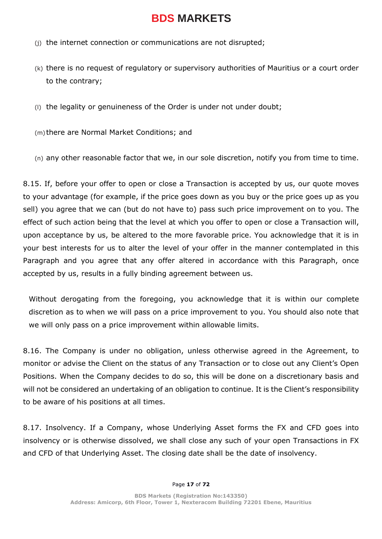- (j) the internet connection or communications are not disrupted;
- (k) there is no request of regulatory or supervisory authorities of Mauritius or a court order to the contrary;
- (l) the legality or genuineness of the Order is under not under doubt;

(m) there are Normal Market Conditions; and

(n) any other reasonable factor that we, in our sole discretion, notify you from time to time.

8.15. If, before your offer to open or close a Transaction is accepted by us, our quote moves to your advantage (for example, if the price goes down as you buy or the price goes up as you sell) you agree that we can (but do not have to) pass such price improvement on to you. The effect of such action being that the level at which you offer to open or close a Transaction will, upon acceptance by us, be altered to the more favorable price. You acknowledge that it is in your best interests for us to alter the level of your offer in the manner contemplated in this Paragraph and you agree that any offer altered in accordance with this Paragraph, once accepted by us, results in a fully binding agreement between us.

Without derogating from the foregoing, you acknowledge that it is within our complete discretion as to when we will pass on a price improvement to you. You should also note that we will only pass on a price improvement within allowable limits.

8.16. The Company is under no obligation, unless otherwise agreed in the Agreement, to monitor or advise the Client on the status of any Transaction or to close out any Client's Open Positions. When the Company decides to do so, this will be done on a discretionary basis and will not be considered an undertaking of an obligation to continue. It is the Client's responsibility to be aware of his positions at all times.

8.17. Insolvency. If a Company, whose Underlying Asset forms the FX and CFD goes into insolvency or is otherwise dissolved, we shall close any such of your open Transactions in FX and CFD of that Underlying Asset. The closing date shall be the date of insolvency.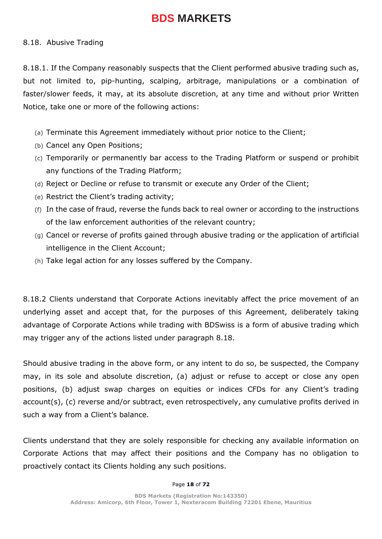#### 8.18. Abusive Trading

8.18.1. If the Company reasonably suspects that the Client performed abusive trading such as, but not limited to, pip-hunting, scalping, arbitrage, manipulations or a combination of faster/slower feeds, it may, at its absolute discretion, at any time and without prior Written Notice, take one or more of the following actions:

- (a) Terminate this Agreement immediately without prior notice to the Client;
- (b) Cancel any Open Positions;
- (c) Temporarily or permanently bar access to the Trading Platform or suspend or prohibit any functions of the Trading Platform;
- (d) Reject or Decline or refuse to transmit or execute any Order of the Client;
- (e) Restrict the Client's trading activity;
- (f) In the case of fraud, reverse the funds back to real owner or according to the instructions of the law enforcement authorities of the relevant country;
- (g) Cancel or reverse of profits gained through abusive trading or the application of artificial intelligence in the Client Account;
- (h) Take legal action for any losses suffered by the Company.

8.18.2 Clients understand that Corporate Actions inevitably affect the price movement of an underlying asset and accept that, for the purposes of this Agreement, deliberately taking advantage of Corporate Actions while trading with BDSwiss is a form of abusive trading which may trigger any of the actions listed under paragraph 8.18.

Should abusive trading in the above form, or any intent to do so, be suspected, the Company may, in its sole and absolute discretion, (a) adjust or refuse to accept or close any open positions, (b) adjust swap charges on equities or indices CFDs for any Client's trading account(s), (c) reverse and/or subtract, even retrospectively, any cumulative profits derived in such a way from a Client's balance.

Clients understand that they are solely responsible for checking any available information on Corporate Actions that may affect their positions and the Company has no obligation to proactively contact its Clients holding any such positions.

#### Page **18** of **72**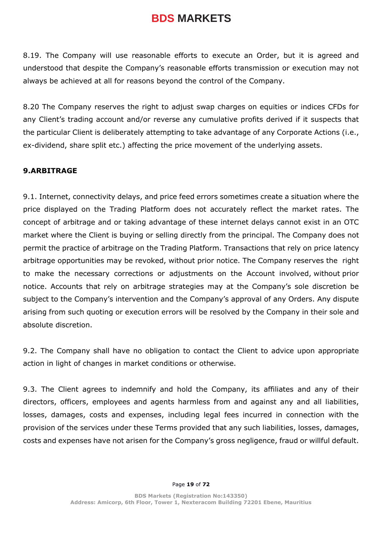8.19. The Company will use reasonable efforts to execute an Order, but it is agreed and understood that despite the Company's reasonable efforts transmission or execution may not always be achieved at all for reasons beyond the control of the Company.

8.20 The Company reserves the right to adjust swap charges on equities or indices CFDs for any Client's trading account and/or reverse any cumulative profits derived if it suspects that the particular Client is deliberately attempting to take advantage of any Corporate Actions (i.e., ex-dividend, share split etc.) affecting the price movement of the underlying assets.

## **9.ARBITRAGE**

9.1. Internet, connectivity delays, and price feed errors sometimes create a situation where the price displayed on the Trading Platform does not accurately reflect the market rates. The concept of arbitrage and or taking advantage of these internet delays cannot exist in an OTC market where the Client is buying or selling directly from the principal. The Company does not permit the practice of arbitrage on the Trading Platform. Transactions that rely on price latency arbitrage opportunities may be revoked, without prior notice. The Company reserves the right to make the necessary corrections or adjustments on the Account involved, without prior notice. Accounts that rely on arbitrage strategies may at the Company's sole discretion be subject to the Company's intervention and the Company's approval of any Orders. Any dispute arising from such quoting or execution errors will be resolved by the Company in their sole and absolute discretion.

9.2. The Company shall have no obligation to contact the Client to advice upon appropriate action in light of changes in market conditions or otherwise.

9.3. The Client agrees to indemnify and hold the Company, its affiliates and any of their directors, officers, employees and agents harmless from and against any and all liabilities, losses, damages, costs and expenses, including legal fees incurred in connection with the provision of the services under these Terms provided that any such liabilities, losses, damages, costs and expenses have not arisen for the Company's gross negligence, fraud or willful default.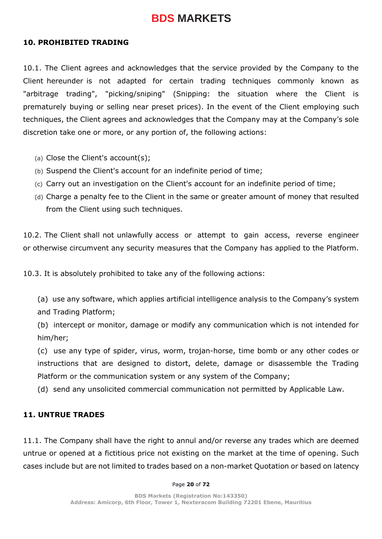#### **10. PROHIBITED TRADING**

10.1. The Client agrees and acknowledges that the service provided by the Company to the Client hereunder is not adapted for certain trading techniques commonly known as "arbitrage trading", "picking/sniping" (Snipping: the situation where the Client is prematurely buying or selling near preset prices). In the event of the Client employing such techniques, the Client agrees and acknowledges that the Company may at the Company's sole discretion take one or more, or any portion of, the following actions:

- (a) Close the Client's account(s);
- (b) Suspend the Client's account for an indefinite period of time;
- (c) Carry out an investigation on the Client's account for an indefinite period of time;
- (d) Charge a penalty fee to the Client in the same or greater amount of money that resulted from the Client using such techniques.

10.2. The Client shall not unlawfully access or attempt to gain access, reverse engineer or otherwise circumvent any security measures that the Company has applied to the Platform.

10.3. It is absolutely prohibited to take any of the following actions:

(a) use any software, which applies artificial intelligence analysis to the Company's system and Trading Platform;

(b) intercept or monitor, damage or modify any communication which is not intended for him/her;

(c) use any type of spider, virus, worm, trojan-horse, time bomb or any other codes or instructions that are designed to distort, delete, damage or disassemble the Trading Platform or the communication system or any system of the Company;

(d) send any unsolicited commercial communication not permitted by Applicable Law.

#### **11. UNTRUE TRADES**

11.1. The Company shall have the right to annul and/or reverse any trades which are deemed untrue or opened at a fictitious price not existing on the market at the time of opening. Such cases include but are not limited to trades based on a non-market Quotation or based on latency

#### Page **20** of **72**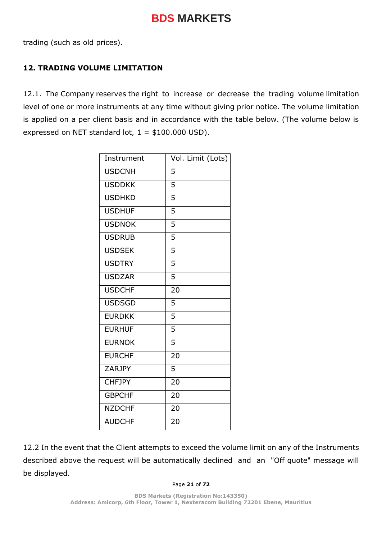trading (such as old prices).

## **12. TRADING VOLUME LIMITATION**

12.1. The Company reserves the right to increase or decrease the trading volume limitation level of one or more instruments at any time without giving prior notice. The volume limitation is applied on a per client basis and in accordance with the table below. (The volume below is expressed on NET standard lot,  $1 = $100.000$  USD).

| Instrument    | Vol. Limit (Lots) |
|---------------|-------------------|
| <b>USDCNH</b> | 5                 |
| <b>USDDKK</b> | 5                 |
| <b>USDHKD</b> | 5                 |
| <b>USDHUF</b> | 5                 |
| <b>USDNOK</b> | 5                 |
| <b>USDRUB</b> | 5                 |
| <b>USDSEK</b> | 5                 |
| <b>USDTRY</b> | 5                 |
| <b>USDZAR</b> | $\overline{5}$    |
| <b>USDCHF</b> | 20                |
| <b>USDSGD</b> | 5                 |
| <b>EURDKK</b> | 5                 |
| <b>EURHUF</b> | 5                 |
| <b>EURNOK</b> | 5                 |
| <b>EURCHF</b> | 20                |
| ZARJPY        | $\overline{5}$    |
| <b>CHFJPY</b> | $\overline{20}$   |
| <b>GBPCHF</b> | 20                |
| <b>NZDCHF</b> | 20                |
| <b>AUDCHF</b> | 20                |

12.2 In the event that the Client attempts to exceed the volume limit on any of the Instruments described above the request will be automatically declined and an "Off quote" message will be displayed.

#### Page **21** of **72**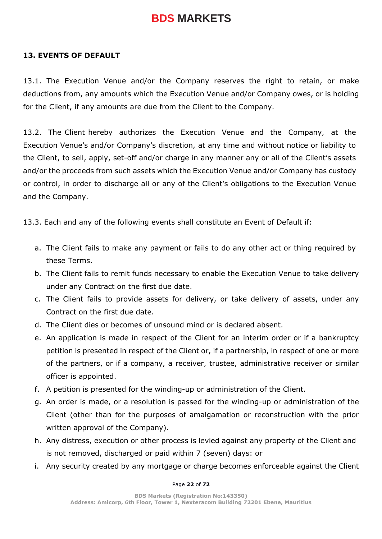#### **13. EVENTS OF DEFAULT**

13.1. The Execution Venue and/or the Company reserves the right to retain, or make deductions from, any amounts which the Execution Venue and/or Company owes, or is holding for the Client, if any amounts are due from the Client to the Company.

13.2. The Client hereby authorizes the Execution Venue and the Company, at the Execution Venue's and/or Company's discretion, at any time and without notice or liability to the Client, to sell, apply, set-off and/or charge in any manner any or all of the Client's assets and/or the proceeds from such assets which the Execution Venue and/or Company has custody or control, in order to discharge all or any of the Client's obligations to the Execution Venue and the Company.

13.3. Each and any of the following events shall constitute an Event of Default if:

- a. The Client fails to make any payment or fails to do any other act or thing required by these Terms.
- b. The Client fails to remit funds necessary to enable the Execution Venue to take delivery under any Contract on the first due date.
- c. The Client fails to provide assets for delivery, or take delivery of assets, under any Contract on the first due date.
- d. The Client dies or becomes of unsound mind or is declared absent.
- e. An application is made in respect of the Client for an interim order or if a bankruptcy petition is presented in respect of the Client or, if a partnership, in respect of one or more of the partners, or if a company, a receiver, trustee, administrative receiver or similar officer is appointed.
- f. A petition is presented for the winding-up or administration of the Client.
- g. An order is made, or a resolution is passed for the winding-up or administration of the Client (other than for the purposes of amalgamation or reconstruction with the prior written approval of the Company).
- h. Any distress, execution or other process is levied against any property of the Client and is not removed, discharged or paid within 7 (seven) days: or
- i. Any security created by any mortgage or charge becomes enforceable against the Client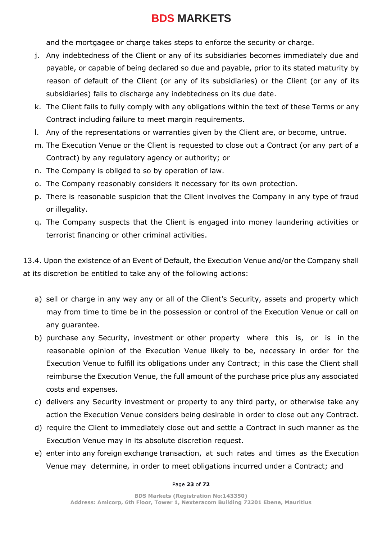and the mortgagee or charge takes steps to enforce the security or charge.

- j. Any indebtedness of the Client or any of its subsidiaries becomes immediately due and payable, or capable of being declared so due and payable, prior to its stated maturity by reason of default of the Client (or any of its subsidiaries) or the Client (or any of its subsidiaries) fails to discharge any indebtedness on its due date.
- k. The Client fails to fully comply with any obligations within the text of these Terms or any Contract including failure to meet margin requirements.
- l. Any of the representations or warranties given by the Client are, or become, untrue.
- m. The Execution Venue or the Client is requested to close out a Contract (or any part of a Contract) by any regulatory agency or authority; or
- n. The Company is obliged to so by operation of law.
- o. The Company reasonably considers it necessary for its own protection.
- p. There is reasonable suspicion that the Client involves the Company in any type of fraud or illegality.
- q. The Company suspects that the Client is engaged into money laundering activities or terrorist financing or other criminal activities.

13.4. Upon the existence of an Event of Default, the Execution Venue and/or the Company shall at its discretion be entitled to take any of the following actions:

- a) sell or charge in any way any or all of the Client's Security, assets and property which may from time to time be in the possession or control of the Execution Venue or call on any guarantee.
- b) purchase any Security, investment or other property where this is, or is in the reasonable opinion of the Execution Venue likely to be, necessary in order for the Execution Venue to fulfill its obligations under any Contract; in this case the Client shall reimburse the Execution Venue, the full amount of the purchase price plus any associated costs and expenses.
- c) delivers any Security investment or property to any third party, or otherwise take any action the Execution Venue considers being desirable in order to close out any Contract.
- d) require the Client to immediately close out and settle a Contract in such manner as the Execution Venue may in its absolute discretion request.
- e) enter into any foreign exchange transaction, at such rates and times as the Execution Venue may determine, in order to meet obligations incurred under a Contract; and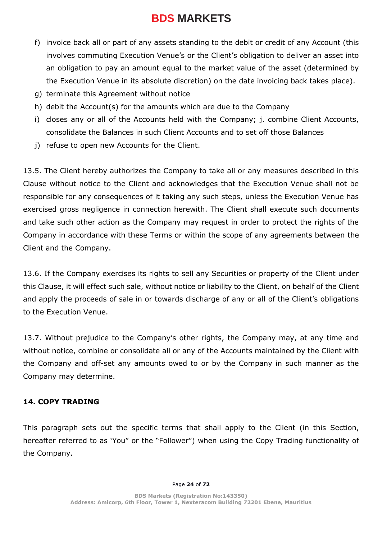- f) invoice back all or part of any assets standing to the debit or credit of any Account (this involves commuting Execution Venue's or the Client's obligation to deliver an asset into an obligation to pay an amount equal to the market value of the asset (determined by the Execution Venue in its absolute discretion) on the date invoicing back takes place).
- g) terminate this Agreement without notice
- h) debit the Account(s) for the amounts which are due to the Company
- i) closes any or all of the Accounts held with the Company; j. combine Client Accounts, consolidate the Balances in such Client Accounts and to set off those Balances
- j) refuse to open new Accounts for the Client.

13.5. The Client hereby authorizes the Company to take all or any measures described in this Clause without notice to the Client and acknowledges that the Execution Venue shall not be responsible for any consequences of it taking any such steps, unless the Execution Venue has exercised gross negligence in connection herewith. The Client shall execute such documents and take such other action as the Company may request in order to protect the rights of the Company in accordance with these Terms or within the scope of any agreements between the Client and the Company.

13.6. If the Company exercises its rights to sell any Securities or property of the Client under this Clause, it will effect such sale, without notice or liability to the Client, on behalf of the Client and apply the proceeds of sale in or towards discharge of any or all of the Client's obligations to the Execution Venue.

13.7. Without prejudice to the Company's other rights, the Company may, at any time and without notice, combine or consolidate all or any of the Accounts maintained by the Client with the Company and off-set any amounts owed to or by the Company in such manner as the Company may determine.

## **14. COPY TRADING**

This paragraph sets out the specific terms that shall apply to the Client (in this Section, hereafter referred to as 'You" or the "Follower") when using the Copy Trading functionality of the Company.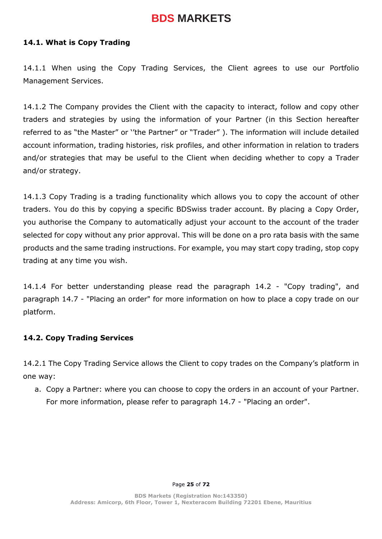#### **14.1. What is Copy Trading**

14.1.1 When using the Copy Trading Services, the Client agrees to use our Portfolio Management Services.

14.1.2 The Company provides the Client with the capacity to interact, follow and copy other traders and strategies by using the information of your Partner (in this Section hereafter referred to as "the Master" or ''the Partner" or "Trader" ). The information will include detailed account information, trading histories, risk profiles, and other information in relation to traders and/or strategies that may be useful to the Client when deciding whether to copy a Trader and/or strategy.

14.1.3 Copy Trading is a trading functionality which allows you to copy the account of other traders. You do this by copying a specific BDSwiss trader account. By placing a Copy Order, you authorise the Company to automatically adjust your account to the account of the trader selected for copy without any prior approval. This will be done on a pro rata basis with the same products and the same trading instructions. For example, you may start copy trading, stop copy trading at any time you wish.

14.1.4 For better understanding please read the paragraph 14.2 - "Copy trading", and paragraph 14.7 - "Placing an order" for more information on how to place a copy trade on our platform.

#### **14.2. Copy Trading Services**

14.2.1 The Copy Trading Service allows the Client to copy trades on the Company's platform in one way:

a. Copy a Partner: where you can choose to copy the orders in an account of your Partner. For more information, please refer to paragraph 14.7 - "Placing an order".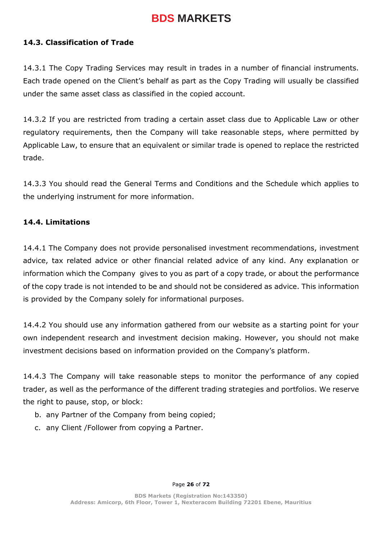#### **14.3. Classification of Trade**

14.3.1 The Copy Trading Services may result in trades in a number of financial instruments. Each trade opened on the Client's behalf as part as the Copy Trading will usually be classified under the same asset class as classified in the copied account.

14.3.2 If you are restricted from trading a certain asset class due to Applicable Law or other regulatory requirements, then the Company will take reasonable steps, where permitted by Applicable Law, to ensure that an equivalent or similar trade is opened to replace the restricted trade.

14.3.3 You should read the General Terms and Conditions and the Schedule which applies to the underlying instrument for more information.

#### **14.4. Limitations**

14.4.1 The Company does not provide personalised investment recommendations, investment advice, tax related advice or other financial related advice of any kind. Any explanation or information which the Company gives to you as part of a copy trade, or about the performance of the copy trade is not intended to be and should not be considered as advice. This information is provided by the Company solely for informational purposes.

14.4.2 You should use any information gathered from our website as a starting point for your own independent research and investment decision making. However, you should not make investment decisions based on information provided on the Company's platform.

14.4.3 The Company will take reasonable steps to monitor the performance of any copied trader, as well as the performance of the different trading strategies and portfolios. We reserve the right to pause, stop, or block:

- b. any Partner of the Company from being copied;
- c. any Client /Follower from copying a Partner.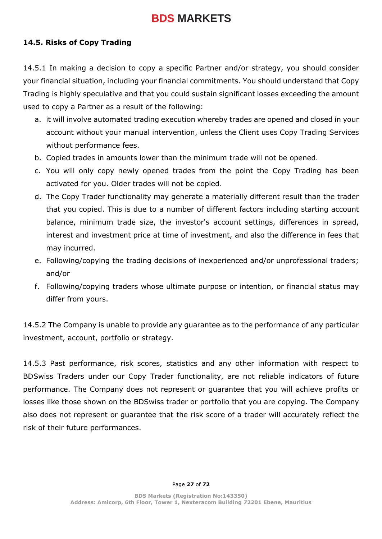### **14.5. Risks of Copy Trading**

14.5.1 In making a decision to copy a specific Partner and/or strategy, you should consider your financial situation, including your financial commitments. You should understand that Copy Trading is highly speculative and that you could sustain significant losses exceeding the amount used to copy a Partner as a result of the following:

- a. it will involve automated trading execution whereby trades are opened and closed in your account without your manual intervention, unless the Client uses Copy Trading Services without performance fees.
- b. Copied trades in amounts lower than the minimum trade will not be opened.
- c. You will only copy newly opened trades from the point the Copy Trading has been activated for you. Older trades will not be copied.
- d. The Copy Trader functionality may generate a materially different result than the trader that you copied. This is due to a number of different factors including starting account balance, minimum trade size, the investor's account settings, differences in spread, interest and investment price at time of investment, and also the difference in fees that may incurred.
- e. Following/copying the trading decisions of inexperienced and/or unprofessional traders; and/or
- f. Following/copying traders whose ultimate purpose or intention, or financial status may differ from yours.

14.5.2 The Company is unable to provide any guarantee as to the performance of any particular investment, account, portfolio or strategy.

14.5.3 Past performance, risk scores, statistics and any other information with respect to BDSwiss Traders under our Copy Trader functionality, are not reliable indicators of future performance. The Company does not represent or guarantee that you will achieve profits or losses like those shown on the BDSwiss trader or portfolio that you are copying. The Company also does not represent or guarantee that the risk score of a trader will accurately reflect the risk of their future performances.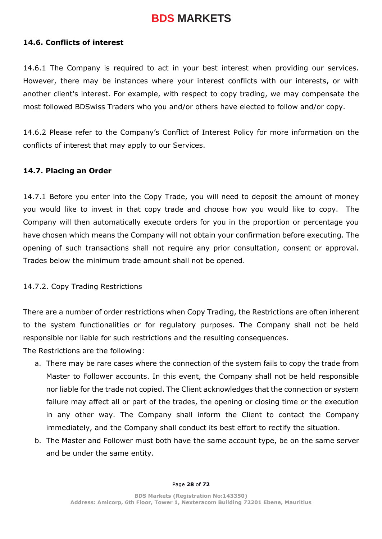#### **14.6. Conflicts of interest**

14.6.1 The Company is required to act in your best interest when providing our services. However, there may be instances where your interest conflicts with our interests, or with another client's interest. For example, with respect to copy trading, we may compensate the most followed BDSwiss Traders who you and/or others have elected to follow and/or copy.

14.6.2 Please refer to the Company's Conflict of Interest Policy for more information on the conflicts of interest that may apply to our Services.

#### **14.7. Placing an Order**

14.7.1 Before you enter into the Copy Trade, you will need to deposit the amount of money you would like to invest in that copy trade and choose how you would like to copy. The Company will then automatically execute orders for you in the proportion or percentage you have chosen which means the Company will not obtain your confirmation before executing. The opening of such transactions shall not require any prior consultation, consent or approval. Trades below the minimum trade amount shall not be opened.

#### 14.7.2. Copy Trading Restrictions

There are a number of order restrictions when Copy Trading, the Restrictions are often inherent to the system functionalities or for regulatory purposes. The Company shall not be held responsible nor liable for such restrictions and the resulting consequences.

The Restrictions are the following:

- a. There may be rare cases where the connection of the system fails to copy the trade from Master to Follower accounts. In this event, the Company shall not be held responsible nor liable for the trade not copied. The Client acknowledges that the connection or system failure may affect all or part of the trades, the opening or closing time or the execution in any other way. The Company shall inform the Client to contact the Company immediately, and the Company shall conduct its best effort to rectify the situation.
- b. The Master and Follower must both have the same account type, be on the same server and be under the same entity.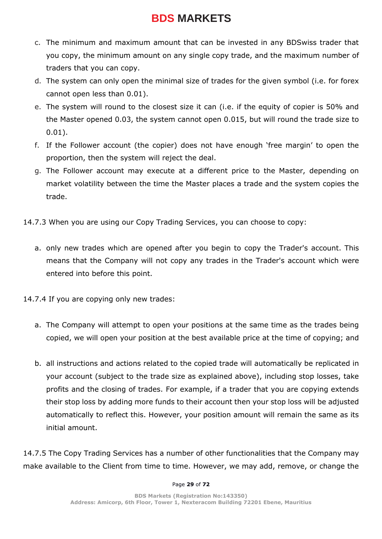- c. The minimum and maximum amount that can be invested in any BDSwiss trader that you copy, the minimum amount on any single copy trade, and the maximum number of traders that you can copy.
- d. The system can only open the minimal size of trades for the given symbol (i.e. for forex cannot open less than 0.01).
- e. The system will round to the closest size it can (i.e. if the equity of copier is 50% and the Master opened 0.03, the system cannot open 0.015, but will round the trade size to 0.01).
- f. If the Follower account (the copier) does not have enough 'free margin' to open the proportion, then the system will reject the deal.
- g. The Follower account may execute at a different price to the Master, depending on market volatility between the time the Master places a trade and the system copies the trade.
- 14.7.3 When you are using our Copy Trading Services, you can choose to copy:
	- a. only new trades which are opened after you begin to copy the Trader's account. This means that the Company will not copy any trades in the Trader's account which were entered into before this point.
- 14.7.4 If you are copying only new trades:
	- a. The Company will attempt to open your positions at the same time as the trades being copied, we will open your position at the best available price at the time of copying; and
	- b. all instructions and actions related to the copied trade will automatically be replicated in your account (subject to the trade size as explained above), including stop losses, take profits and the closing of trades. For example, if a trader that you are copying extends their stop loss by adding more funds to their account then your stop loss will be adjusted automatically to reflect this. However, your position amount will remain the same as its initial amount.

14.7.5 The Copy Trading Services has a number of other functionalities that the Company may make available to the Client from time to time. However, we may add, remove, or change the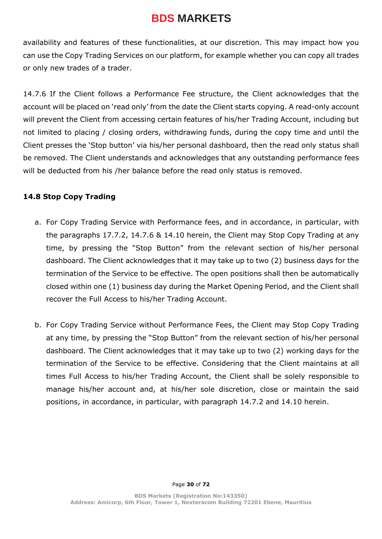availability and features of these functionalities, at our discretion. This may impact how you can use the Copy Trading Services on our platform, for example whether you can copy all trades or only new trades of a trader.

14.7.6 If the Client follows a Performance Fee structure, the Client acknowledges that the account will be placed on 'read only' from the date the Client starts copying. A read-only account will prevent the Client from accessing certain features of his/her Trading Account, including but not limited to placing / closing orders, withdrawing funds, during the copy time and until the Client presses the 'Stop button' via his/her personal dashboard, then the read only status shall be removed. The Client understands and acknowledges that any outstanding performance fees will be deducted from his /her balance before the read only status is removed.

## **14.8 Stop Copy Trading**

- a. For Copy Trading Service with Performance fees, and in accordance, in particular, with the paragraphs 17.7.2, 14.7.6 & 14.10 herein, the Client may Stop Copy Trading at any time, by pressing the "Stop Button" from the relevant section of his/her personal dashboard. The Client acknowledges that it may take up to two (2) business days for the termination of the Service to be effective. The open positions shall then be automatically closed within one (1) business day during the Market Opening Period, and the Client shall recover the Full Access to his/her Trading Account.
- b. For Copy Trading Service without Performance Fees, the Client may Stop Copy Trading at any time, by pressing the "Stop Button" from the relevant section of his/her personal dashboard. The Client acknowledges that it may take up to two (2) working days for the termination of the Service to be effective. Considering that the Client maintains at all times Full Access to his/her Trading Account, the Client shall be solely responsible to manage his/her account and, at his/her sole discretion, close or maintain the said positions, in accordance, in particular, with paragraph 14.7.2 and 14.10 herein.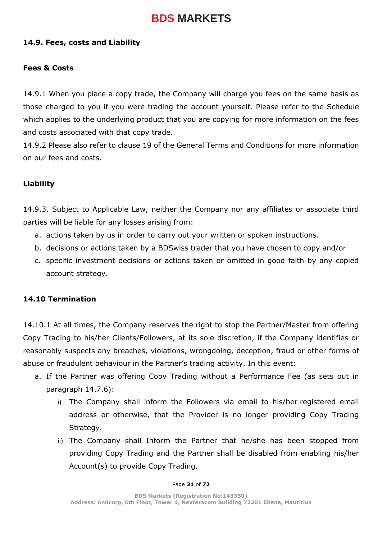#### **14.9. Fees, costs and Liability**

#### **Fees & Costs**

14.9.1 When you place a copy trade, the Company will charge you fees on the same basis as those charged to you if you were trading the account yourself. Please refer to the Schedule which applies to the underlying product that you are copying for more information on the fees and costs associated with that copy trade.

14.9.2 Please also refer to clause 19 of the General Terms and Conditions for more information on our fees and costs.

#### **Liability**

14.9.3. Subject to Applicable Law, neither the Company nor any affiliates or associate third parties will be liable for any losses arising from:

- a. actions taken by us in order to carry out your written or spoken instructions.
- b. decisions or actions taken by a BDSwiss trader that you have chosen to copy and/or
- c. specific investment decisions or actions taken or omitted in good faith by any copied account strategy.

#### **14.10 Termination**

14.10.1 At all times, the Company reserves the right to stop the Partner/Master from offering Copy Trading to his/her Clients/Followers, at its sole discretion, if the Company identifies or reasonably suspects any breaches, violations, wrongdoing, deception, fraud or other forms of abuse or fraudulent behaviour in the Partner's trading activity. In this event:

- a. If the Partner was offering Copy Trading without a Performance Fee (as sets out in paragraph 14.7.6):
	- i) The Company shall inform the Followers via email to his/her registered email address or otherwise, that the Provider is no longer providing Copy Trading Strategy.
	- ii) The Company shall Inform the Partner that he/she has been stopped from providing Copy Trading and the Partner shall be disabled from enabling his/her Account(s) to provide Copy Trading.

#### Page **31** of **72**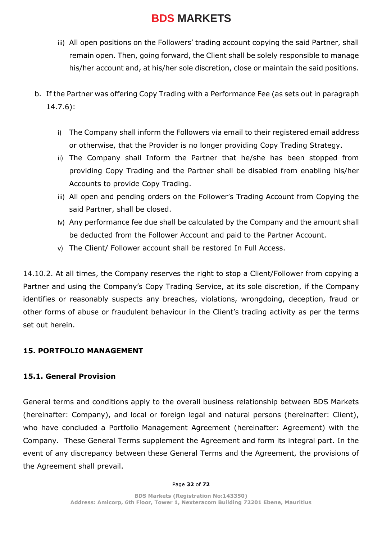- iii) All open positions on the Followers' trading account copying the said Partner, shall remain open. Then, going forward, the Client shall be solely responsible to manage his/her account and, at his/her sole discretion, close or maintain the said positions.
- b. If the Partner was offering Copy Trading with a Performance Fee (as sets out in paragraph 14.7.6):
	- i) The Company shall inform the Followers via email to their registered email address or otherwise, that the Provider is no longer providing Copy Trading Strategy.
	- ii) The Company shall Inform the Partner that he/she has been stopped from providing Copy Trading and the Partner shall be disabled from enabling his/her Accounts to provide Copy Trading.
	- iii) All open and pending orders on the Follower's Trading Account from Copying the said Partner, shall be closed.
	- iv) Any performance fee due shall be calculated by the Company and the amount shall be deducted from the Follower Account and paid to the Partner Account.
	- v) The Client/ Follower account shall be restored In Full Access.

14.10.2. At all times, the Company reserves the right to stop a Client/Follower from copying a Partner and using the Company's Copy Trading Service, at its sole discretion, if the Company identifies or reasonably suspects any breaches, violations, wrongdoing, deception, fraud or other forms of abuse or fraudulent behaviour in the Client's trading activity as per the terms set out herein.

## **15. PORTFOLIO MANAGEMENT**

## **15.1. General Provision**

General terms and conditions apply to the overall business relationship between BDS Markets (hereinafter: Company), and local or foreign legal and natural persons (hereinafter: Client), who have concluded a Portfolio Management Agreement (hereinafter: Agreement) with the Company. These General Terms supplement the Agreement and form its integral part. In the event of any discrepancy between these General Terms and the Agreement, the provisions of the Agreement shall prevail.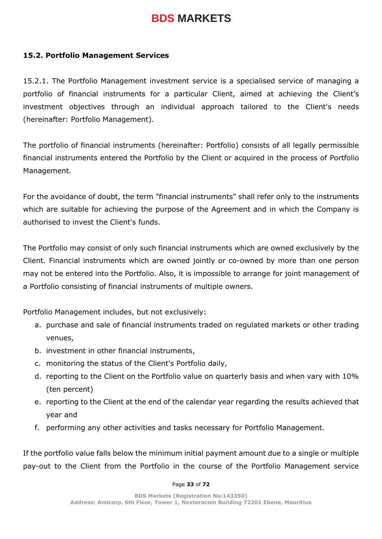#### **15.2. Portfolio Management Services**

15.2.1. The Portfolio Management investment service is a specialised service of managing a portfolio of financial instruments for a particular Client, aimed at achieving the Client's investment objectives through an individual approach tailored to the Client's needs (hereinafter: Portfolio Management).

The portfolio of financial instruments (hereinafter: Portfolio) consists of all legally permissible financial instruments entered the Portfolio by the Client or acquired in the process of Portfolio Management.

For the avoidance of doubt, the term "financial instruments" shall refer only to the instruments which are suitable for achieving the purpose of the Agreement and in which the Company is authorised to invest the Client's funds.

The Portfolio may consist of only such financial instruments which are owned exclusively by the Client. Financial instruments which are owned jointly or co-owned by more than one person may not be entered into the Portfolio. Also, it is impossible to arrange for joint management of a Portfolio consisting of financial instruments of multiple owners.

Portfolio Management includes, but not exclusively:

- a. purchase and sale of financial instruments traded on regulated markets or other trading venues,
- b. investment in other financial instruments,
- c. monitoring the status of the Client's Portfolio daily,
- d. reporting to the Client on the Portfolio value on quarterly basis and when vary with 10% (ten percent)
- e. reporting to the Client at the end of the calendar year regarding the results achieved that year and
- f. performing any other activities and tasks necessary for Portfolio Management.

If the portfolio value falls below the minimum initial payment amount due to a single or multiple pay-out to the Client from the Portfolio in the course of the Portfolio Management service

#### Page **33** of **72**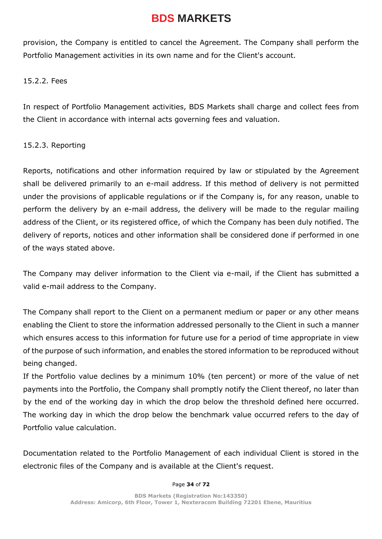provision, the Company is entitled to cancel the Agreement. The Company shall perform the Portfolio Management activities in its own name and for the Client's account.

#### 15.2.2. Fees

In respect of Portfolio Management activities, BDS Markets shall charge and collect fees from the Client in accordance with internal acts governing fees and valuation.

#### 15.2.3. Reporting

Reports, notifications and other information required by law or stipulated by the Agreement shall be delivered primarily to an e-mail address. If this method of delivery is not permitted under the provisions of applicable regulations or if the Company is, for any reason, unable to perform the delivery by an e-mail address, the delivery will be made to the regular mailing address of the Client, or its registered office, of which the Company has been duly notified. The delivery of reports, notices and other information shall be considered done if performed in one of the ways stated above.

The Company may deliver information to the Client via e-mail, if the Client has submitted a valid e-mail address to the Company.

The Company shall report to the Client on a permanent medium or paper or any other means enabling the Client to store the information addressed personally to the Client in such a manner which ensures access to this information for future use for a period of time appropriate in view of the purpose of such information, and enables the stored information to be reproduced without being changed.

If the Portfolio value declines by a minimum 10% (ten percent) or more of the value of net payments into the Portfolio, the Company shall promptly notify the Client thereof, no later than by the end of the working day in which the drop below the threshold defined here occurred. The working day in which the drop below the benchmark value occurred refers to the day of Portfolio value calculation.

Documentation related to the Portfolio Management of each individual Client is stored in the electronic files of the Company and is available at the Client's request.

#### Page **34** of **72**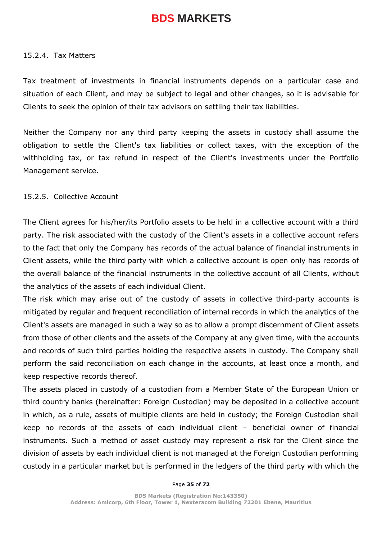#### 15.2.4. Tax Matters

Tax treatment of investments in financial instruments depends on a particular case and situation of each Client, and may be subject to legal and other changes, so it is advisable for Clients to seek the opinion of their tax advisors on settling their tax liabilities.

Neither the Company nor any third party keeping the assets in custody shall assume the obligation to settle the Client's tax liabilities or collect taxes, with the exception of the withholding tax, or tax refund in respect of the Client's investments under the Portfolio Management service.

#### 15.2.5. Collective Account

The Client agrees for his/her/its Portfolio assets to be held in a collective account with a third party. The risk associated with the custody of the Client's assets in a collective account refers to the fact that only the Company has records of the actual balance of financial instruments in Client assets, while the third party with which a collective account is open only has records of the overall balance of the financial instruments in the collective account of all Clients, without the analytics of the assets of each individual Client.

The risk which may arise out of the custody of assets in collective third-party accounts is mitigated by regular and frequent reconciliation of internal records in which the analytics of the Client's assets are managed in such a way so as to allow a prompt discernment of Client assets from those of other clients and the assets of the Company at any given time, with the accounts and records of such third parties holding the respective assets in custody. The Company shall perform the said reconciliation on each change in the accounts, at least once a month, and keep respective records thereof.

The assets placed in custody of a custodian from a Member State of the European Union or third country banks (hereinafter: Foreign Custodian) may be deposited in a collective account in which, as a rule, assets of multiple clients are held in custody; the Foreign Custodian shall keep no records of the assets of each individual client – beneficial owner of financial instruments. Such a method of asset custody may represent a risk for the Client since the division of assets by each individual client is not managed at the Foreign Custodian performing custody in a particular market but is performed in the ledgers of the third party with which the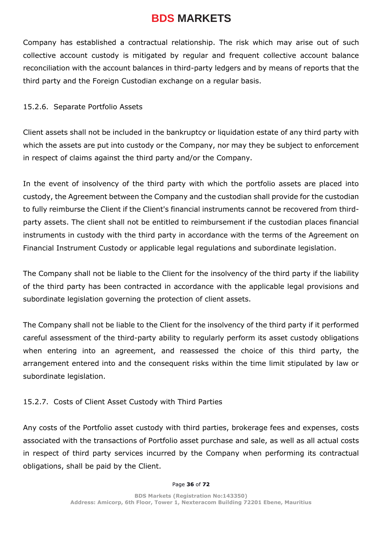Company has established a contractual relationship. The risk which may arise out of such collective account custody is mitigated by regular and frequent collective account balance reconciliation with the account balances in third-party ledgers and by means of reports that the third party and the Foreign Custodian exchange on a regular basis.

## 15.2.6. Separate Portfolio Assets

Client assets shall not be included in the bankruptcy or liquidation estate of any third party with which the assets are put into custody or the Company, nor may they be subject to enforcement in respect of claims against the third party and/or the Company.

In the event of insolvency of the third party with which the portfolio assets are placed into custody, the Agreement between the Company and the custodian shall provide for the custodian to fully reimburse the Client if the Client's financial instruments cannot be recovered from thirdparty assets. The client shall not be entitled to reimbursement if the custodian places financial instruments in custody with the third party in accordance with the terms of the Agreement on Financial Instrument Custody or applicable legal regulations and subordinate legislation.

The Company shall not be liable to the Client for the insolvency of the third party if the liability of the third party has been contracted in accordance with the applicable legal provisions and subordinate legislation governing the protection of client assets.

The Company shall not be liable to the Client for the insolvency of the third party if it performed careful assessment of the third-party ability to regularly perform its asset custody obligations when entering into an agreement, and reassessed the choice of this third party, the arrangement entered into and the consequent risks within the time limit stipulated by law or subordinate legislation.

## 15.2.7. Costs of Client Asset Custody with Third Parties

Any costs of the Portfolio asset custody with third parties, brokerage fees and expenses, costs associated with the transactions of Portfolio asset purchase and sale, as well as all actual costs in respect of third party services incurred by the Company when performing its contractual obligations, shall be paid by the Client.

#### Page **36** of **72**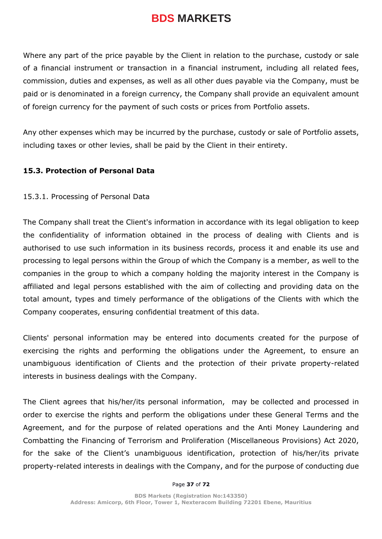Where any part of the price payable by the Client in relation to the purchase, custody or sale of a financial instrument or transaction in a financial instrument, including all related fees, commission, duties and expenses, as well as all other dues payable via the Company, must be paid or is denominated in a foreign currency, the Company shall provide an equivalent amount of foreign currency for the payment of such costs or prices from Portfolio assets.

Any other expenses which may be incurred by the purchase, custody or sale of Portfolio assets, including taxes or other levies, shall be paid by the Client in their entirety.

#### **15.3. Protection of Personal Data**

#### 15.3.1. Processing of Personal Data

The Company shall treat the Client's information in accordance with its legal obligation to keep the confidentiality of information obtained in the process of dealing with Clients and is authorised to use such information in its business records, process it and enable its use and processing to legal persons within the Group of which the Company is a member, as well to the companies in the group to which a company holding the majority interest in the Company is affiliated and legal persons established with the aim of collecting and providing data on the total amount, types and timely performance of the obligations of the Clients with which the Company cooperates, ensuring confidential treatment of this data.

Clients' personal information may be entered into documents created for the purpose of exercising the rights and performing the obligations under the Agreement, to ensure an unambiguous identification of Clients and the protection of their private property-related interests in business dealings with the Company.

The Client agrees that his/her/its personal information, may be collected and processed in order to exercise the rights and perform the obligations under these General Terms and the Agreement, and for the purpose of related operations and the Anti Money Laundering and Combatting the Financing of Terrorism and Proliferation (Miscellaneous Provisions) Act 2020, for the sake of the Client's unambiguous identification, protection of his/her/its private property-related interests in dealings with the Company, and for the purpose of conducting due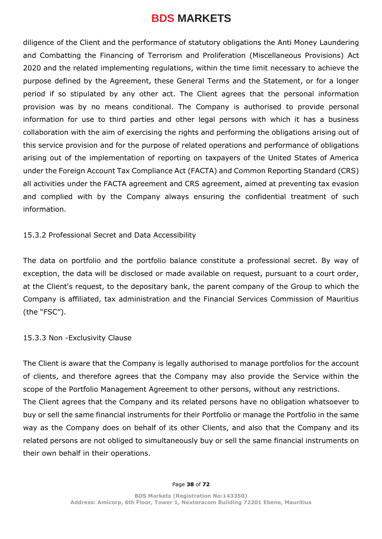diligence of the Client and the performance of statutory obligations the Anti Money Laundering and Combatting the Financing of Terrorism and Proliferation (Miscellaneous Provisions) Act 2020 and the related implementing regulations, within the time limit necessary to achieve the purpose defined by the Agreement, these General Terms and the Statement, or for a longer period if so stipulated by any other act. The Client agrees that the personal information provision was by no means conditional. The Company is authorised to provide personal information for use to third parties and other legal persons with which it has a business collaboration with the aim of exercising the rights and performing the obligations arising out of this service provision and for the purpose of related operations and performance of obligations arising out of the implementation of reporting on taxpayers of the United States of America under the Foreign Account Tax Compliance Act (FACTA) and Common Reporting Standard (CRS) all activities under the FACTA agreement and CRS agreement, aimed at preventing tax evasion and complied with by the Company always ensuring the confidential treatment of such information.

#### 15.3.2 Professional Secret and Data Accessibility

The data on portfolio and the portfolio balance constitute a professional secret. By way of exception, the data will be disclosed or made available on request, pursuant to a court order, at the Client's request, to the depositary bank, the parent company of the Group to which the Company is affiliated, tax administration and the Financial Services Commission of Mauritius (the "FSC").

#### 15.3.3 Non -Exclusivity Clause

The Client is aware that the Company is legally authorised to manage portfolios for the account of clients, and therefore agrees that the Company may also provide the Service within the scope of the Portfolio Management Agreement to other persons, without any restrictions. The Client agrees that the Company and its related persons have no obligation whatsoever to buy or sell the same financial instruments for their Portfolio or manage the Portfolio in the same way as the Company does on behalf of its other Clients, and also that the Company and its related persons are not obliged to simultaneously buy or sell the same financial instruments on their own behalf in their operations.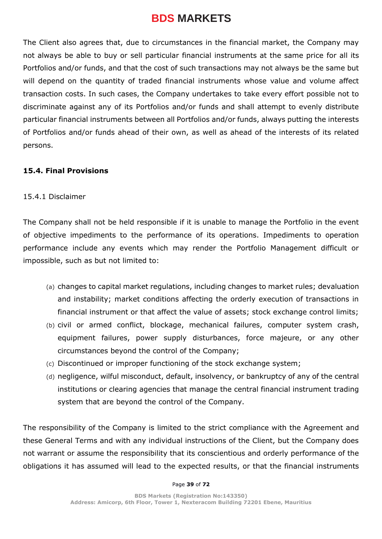The Client also agrees that, due to circumstances in the financial market, the Company may not always be able to buy or sell particular financial instruments at the same price for all its Portfolios and/or funds, and that the cost of such transactions may not always be the same but will depend on the quantity of traded financial instruments whose value and volume affect transaction costs. In such cases, the Company undertakes to take every effort possible not to discriminate against any of its Portfolios and/or funds and shall attempt to evenly distribute particular financial instruments between all Portfolios and/or funds, always putting the interests of Portfolios and/or funds ahead of their own, as well as ahead of the interests of its related persons.

### **15.4. Final Provisions**

### 15.4.1 Disclaimer

The Company shall not be held responsible if it is unable to manage the Portfolio in the event of objective impediments to the performance of its operations. Impediments to operation performance include any events which may render the Portfolio Management difficult or impossible, such as but not limited to:

- (a) changes to capital market regulations, including changes to market rules; devaluation and instability; market conditions affecting the orderly execution of transactions in financial instrument or that affect the value of assets; stock exchange control limits;
- (b) civil or armed conflict, blockage, mechanical failures, computer system crash, equipment failures, power supply disturbances, force majeure, or any other circumstances beyond the control of the Company;
- (c) Discontinued or improper functioning of the stock exchange system;
- (d) negligence, wilful misconduct, default, insolvency, or bankruptcy of any of the central institutions or clearing agencies that manage the central financial instrument trading system that are beyond the control of the Company.

The responsibility of the Company is limited to the strict compliance with the Agreement and these General Terms and with any individual instructions of the Client, but the Company does not warrant or assume the responsibility that its conscientious and orderly performance of the obligations it has assumed will lead to the expected results, or that the financial instruments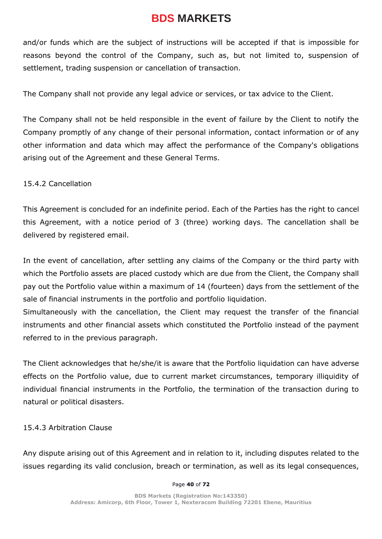and/or funds which are the subject of instructions will be accepted if that is impossible for reasons beyond the control of the Company, such as, but not limited to, suspension of settlement, trading suspension or cancellation of transaction.

The Company shall not provide any legal advice or services, or tax advice to the Client.

The Company shall not be held responsible in the event of failure by the Client to notify the Company promptly of any change of their personal information, contact information or of any other information and data which may affect the performance of the Company's obligations arising out of the Agreement and these General Terms.

15.4.2 Cancellation

This Agreement is concluded for an indefinite period. Each of the Parties has the right to cancel this Agreement, with a notice period of 3 (three) working days. The cancellation shall be delivered by registered email.

In the event of cancellation, after settling any claims of the Company or the third party with which the Portfolio assets are placed custody which are due from the Client, the Company shall pay out the Portfolio value within a maximum of 14 (fourteen) days from the settlement of the sale of financial instruments in the portfolio and portfolio liquidation.

Simultaneously with the cancellation, the Client may request the transfer of the financial instruments and other financial assets which constituted the Portfolio instead of the payment referred to in the previous paragraph.

The Client acknowledges that he/she/it is aware that the Portfolio liquidation can have adverse effects on the Portfolio value, due to current market circumstances, temporary illiquidity of individual financial instruments in the Portfolio, the termination of the transaction during to natural or political disasters.

15.4.3 Arbitration Clause

Any dispute arising out of this Agreement and in relation to it, including disputes related to the issues regarding its valid conclusion, breach or termination, as well as its legal consequences,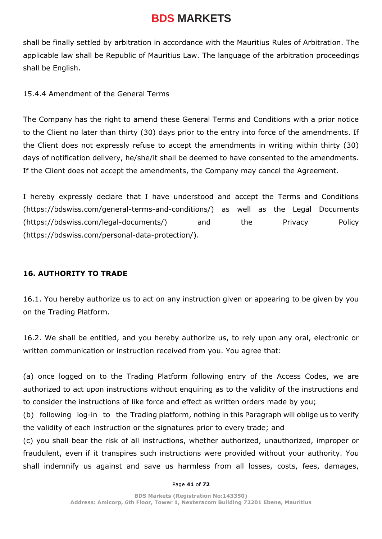shall be finally settled by arbitration in accordance with the Mauritius Rules of Arbitration. The applicable law shall be Republic of Mauritius Law. The language of the arbitration proceedings shall be English.

15.4.4 Amendment of the General Terms

The Company has the right to amend these General Terms and Conditions with a prior notice to the Client no later than thirty (30) days prior to the entry into force of the amendments. If the Client does not expressly refuse to accept the amendments in writing within thirty (30) days of notification delivery, he/she/it shall be deemed to have consented to the amendments. If the Client does not accept the amendments, the Company may cancel the Agreement.

I hereby expressly declare that I have understood and accept the Terms and Conditions [\(https://bdswiss.com/general-terms-and-conditions/\)](https://bdswiss.com/general-terms-and-conditions/) as well as the Legal Documents [\(https://bdswiss.com/legal-documents/\)](https://bdswiss.com/legal-documents/) and the Privacy Policy [\(https://bdswiss.com/personal-data-protection/\)](https://bdswiss.com/personal-data-protection/).

#### **16. AUTHORITY TO TRADE**

16.1. You hereby authorize us to act on any instruction given or appearing to be given by you on the Trading Platform.

16.2. We shall be entitled, and you hereby authorize us, to rely upon any oral, electronic or written communication or instruction received from you. You agree that:

(a) once logged on to the Trading Platform following entry of the Access Codes, we are authorized to act upon instructions without enquiring as to the validity of the instructions and to consider the instructions of like force and effect as written orders made by you;

(b) following log-in to the-Trading platform, nothing in this Paragraph will oblige us to verify the validity of each instruction or the signatures prior to every trade; and

(c) you shall bear the risk of all instructions, whether authorized, unauthorized, improper or fraudulent, even if it transpires such instructions were provided without your authority. You shall indemnify us against and save us harmless from all losses, costs, fees, damages,

#### Page **41** of **72**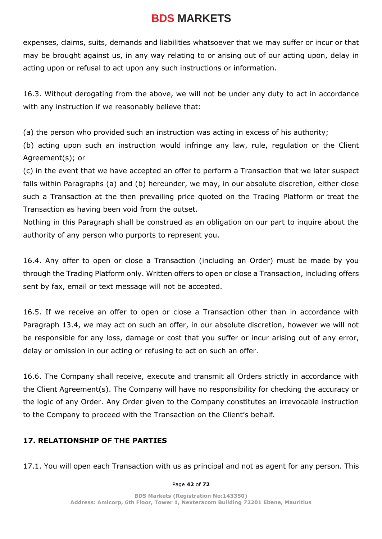expenses, claims, suits, demands and liabilities whatsoever that we may suffer or incur or that may be brought against us, in any way relating to or arising out of our acting upon, delay in acting upon or refusal to act upon any such instructions or information.

16.3. Without derogating from the above, we will not be under any duty to act in accordance with any instruction if we reasonably believe that:

(a) the person who provided such an instruction was acting in excess of his authority;

(b) acting upon such an instruction would infringe any law, rule, regulation or the Client Agreement(s); or

(c) in the event that we have accepted an offer to perform a Transaction that we later suspect falls within Paragraphs (a) and (b) hereunder, we may, in our absolute discretion, either close such a Transaction at the then prevailing price quoted on the Trading Platform or treat the Transaction as having been void from the outset.

Nothing in this Paragraph shall be construed as an obligation on our part to inquire about the authority of any person who purports to represent you.

16.4. Any offer to open or close a Transaction (including an Order) must be made by you through the Trading Platform only. Written offers to open or close a Transaction, including offers sent by fax, email or text message will not be accepted.

16.5. If we receive an offer to open or close a Transaction other than in accordance with Paragraph 13.4, we may act on such an offer, in our absolute discretion, however we will not be responsible for any loss, damage or cost that you suffer or incur arising out of any error, delay or omission in our acting or refusing to act on such an offer.

16.6. The Company shall receive, execute and transmit all Orders strictly in accordance with the Client Agreement(s). The Company will have no responsibility for checking the accuracy or the logic of any Order. Any Order given to the Company constitutes an irrevocable instruction to the Company to proceed with the Transaction on the Client's behalf.

#### **17. RELATIONSHIP OF THE PARTIES**

17.1. You will open each Transaction with us as principal and not as agent for any person. This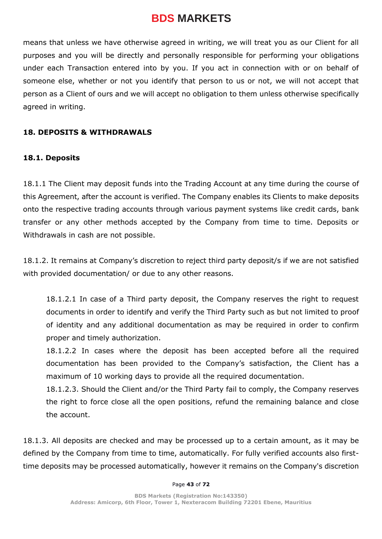means that unless we have otherwise agreed in writing, we will treat you as our Client for all purposes and you will be directly and personally responsible for performing your obligations under each Transaction entered into by you. If you act in connection with or on behalf of someone else, whether or not you identify that person to us or not, we will not accept that person as a Client of ours and we will accept no obligation to them unless otherwise specifically agreed in writing.

#### **18. DEPOSITS & WITHDRAWALS**

#### **18.1. Deposits**

18.1.1 The Client may deposit funds into the Trading Account at any time during the course of this Agreement, after the account is verified. The Company enables its Clients to make deposits onto the respective trading accounts through various payment systems like credit cards, bank transfer or any other methods accepted by the Company from time to time. Deposits or Withdrawals in cash are not possible.

18.1.2. It remains at Company's discretion to reject third party deposit/s if we are not satisfied with provided documentation/ or due to any other reasons.

18.1.2.1 In case of a Third party deposit, the Company reserves the right to request documents in order to identify and verify the Third Party such as but not limited to proof of identity and any additional documentation as may be required in order to confirm proper and timely authorization.

18.1.2.2 In cases where the deposit has been accepted before all the required documentation has been provided to the Company's satisfaction, the Client has a maximum of 10 working days to provide all the required documentation.

18.1.2.3. Should the Client and/or the Third Party fail to comply, the Company reserves the right to force close all the open positions, refund the remaining balance and close the account.

18.1.3. All deposits are checked and may be processed up to a certain amount, as it may be defined by the Company from time to time, automatically. For fully verified accounts also firsttime deposits may be processed automatically, however it remains on the Company's discretion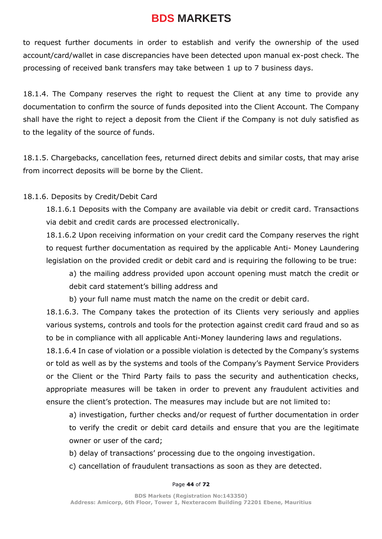to request further documents in order to establish and verify the ownership of the used account/card/wallet in case discrepancies have been detected upon manual ex-post check. The processing of received bank transfers may take between 1 up to 7 business days.

18.1.4. The Company reserves the right to request the Client at any time to provide any documentation to confirm the source of funds deposited into the Client Account. The Company shall have the right to reject a deposit from the Client if the Company is not duly satisfied as to the legality of the source of funds.

18.1.5. Chargebacks, cancellation fees, returned direct debits and similar costs, that may arise from incorrect deposits will be borne by the Client.

### 18.1.6. Deposits by Credit/Debit Card

18.1.6.1 Deposits with the Company are available via debit or credit card. Transactions via debit and credit cards are processed electronically.

18.1.6.2 Upon receiving information on your credit card the Company reserves the right to request further documentation as required by the applicable Anti- Money Laundering legislation on the provided credit or debit card and is requiring the following to be true:

a) the mailing address provided upon account opening must match the credit or debit card statement's billing address and

b) your full name must match the name on the credit or debit card.

18.1.6.3. The Company takes the protection of its Clients very seriously and applies various systems, controls and tools for the protection against credit card fraud and so as to be in compliance with all applicable Anti-Money laundering laws and regulations.

18.1.6.4 In case of violation or a possible violation is detected by the Company's systems or told as well as by the systems and tools of the Company's Payment Service Providers or the Client or the Third Party fails to pass the security and authentication checks, appropriate measures will be taken in order to prevent any fraudulent activities and ensure the client's protection. The measures may include but are not limited to:

a) investigation, further checks and/or request of further documentation in order to verify the credit or debit card details and ensure that you are the legitimate owner or user of the card;

- b) delay of transactions' processing due to the ongoing investigation.
- c) cancellation of fraudulent transactions as soon as they are detected.

#### Page **44** of **72**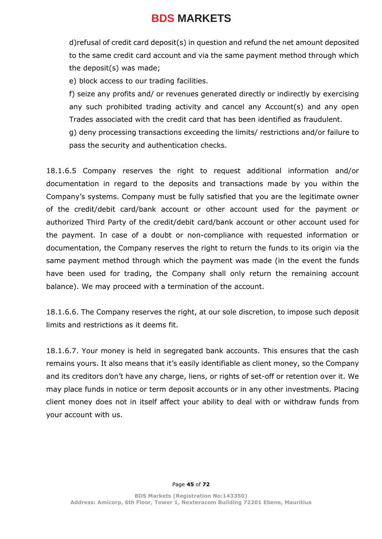d)refusal of credit card deposit(s) in question and refund the net amount deposited to the same credit card account and via the same payment method through which the deposit(s) was made;

e) block access to our trading facilities.

f) seize any profits and/ or revenues generated directly or indirectly by exercising any such prohibited trading activity and cancel any Account(s) and any open Trades associated with the credit card that has been identified as fraudulent.

g) deny processing transactions exceeding the limits/ restrictions and/or failure to pass the security and authentication checks.

18.1.6.5 Company reserves the right to request additional information and/or documentation in regard to the deposits and transactions made by you within the Company's systems. Company must be fully satisfied that you are the legitimate owner of the credit/debit card/bank account or other account used for the payment or authorized Third Party of the credit/debit card/bank account or other account used for the payment. In case of a doubt or non-compliance with requested information or documentation, the Company reserves the right to return the funds to its origin via the same payment method through which the payment was made (in the event the funds have been used for trading, the Company shall only return the remaining account balance). We may proceed with a termination of the account.

18.1.6.6. The Company reserves the right, at our sole discretion, to impose such deposit limits and restrictions as it deems fit.

18.1.6.7. Your money is held in segregated bank accounts. This ensures that the cash remains yours. It also means that it's easily identifiable as client money, so the Company and its creditors don't have any charge, liens, or rights of set-off or retention over it. We may place funds in notice or term deposit accounts or in any other investments. Placing client money does not in itself affect your ability to deal with or withdraw funds from your account with us.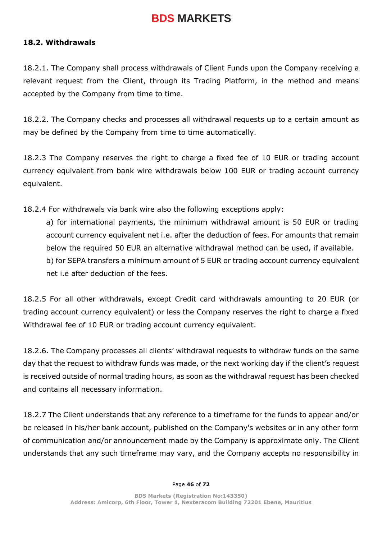#### **18.2. Withdrawals**

18.2.1. The Company shall process withdrawals of Client Funds upon the Company receiving a relevant request from the Client, through its Trading Platform, in the method and means accepted by the Company from time to time.

18.2.2. The Company checks and processes all withdrawal requests up to a certain amount as may be defined by the Company from time to time automatically.

18.2.3 The Company reserves the right to charge a fixed fee of 10 EUR or trading account currency equivalent from bank wire withdrawals below 100 EUR or trading account currency equivalent.

18.2.4 For withdrawals via bank wire also the following exceptions apply:

a) for international payments, the minimum withdrawal amount is 50 EUR or trading account currency equivalent net i.e. after the deduction of fees. For amounts that remain below the required 50 EUR an alternative withdrawal method can be used, if available. b) for SEPA transfers a minimum amount of 5 EUR or trading account currency equivalent net i.e after deduction of the fees.

18.2.5 For all other withdrawals, except Credit card withdrawals amounting to 20 EUR (or trading account currency equivalent) or less the Company reserves the right to charge a fixed Withdrawal fee of 10 EUR or trading account currency equivalent.

18.2.6. The Company processes all clients' withdrawal requests to withdraw funds on the same day that the request to withdraw funds was made, or the next working day if the client's request is received outside of normal trading hours, as soon as the withdrawal request has been checked and contains all necessary information.

18.2.7 The Client understands that any reference to a timeframe for the funds to appear and/or be released in his/her bank account, published on the Company's websites or in any other form of communication and/or announcement made by the Company is approximate only. The Client understands that any such timeframe may vary, and the Company accepts no responsibility in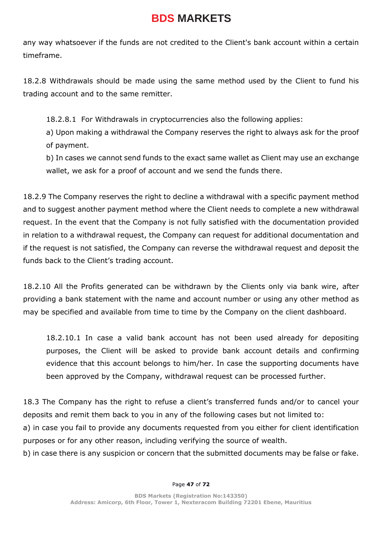any way whatsoever if the funds are not credited to the Client's bank account within a certain timeframe.

18.2.8 Withdrawals should be made using the same method used by the Client to fund his trading account and to the same remitter.

18.2.8.1 For Withdrawals in cryptocurrencies also the following applies:

a) Upon making a withdrawal the Company reserves the right to always ask for the proof of payment.

b) In cases we cannot send funds to the exact same wallet as Client may use an exchange wallet, we ask for a proof of account and we send the funds there.

18.2.9 The Company reserves the right to decline a withdrawal with a specific payment method and to suggest another payment method where the Client needs to complete a new withdrawal request. In the event that the Company is not fully satisfied with the documentation provided in relation to a withdrawal request, the Company can request for additional documentation and if the request is not satisfied, the Company can reverse the withdrawal request and deposit the funds back to the Client's trading account.

18.2.10 All the Profits generated can be withdrawn by the Clients only via bank wire, after providing a bank statement with the name and account number or using any other method as may be specified and available from time to time by the Company on the client dashboard.

18.2.10.1 In case a valid bank account has not been used already for depositing purposes, the Client will be asked to provide bank account details and confirming evidence that this account belongs to him/her. In case the supporting documents have been approved by the Company, withdrawal request can be processed further.

18.3 The Company has the right to refuse a client's transferred funds and/or to cancel your deposits and remit them back to you in any of the following cases but not limited to:

a) in case you fail to provide any documents requested from you either for client identification purposes or for any other reason, including verifying the source of wealth.

b) in case there is any suspicion or concern that the submitted documents may be false or fake.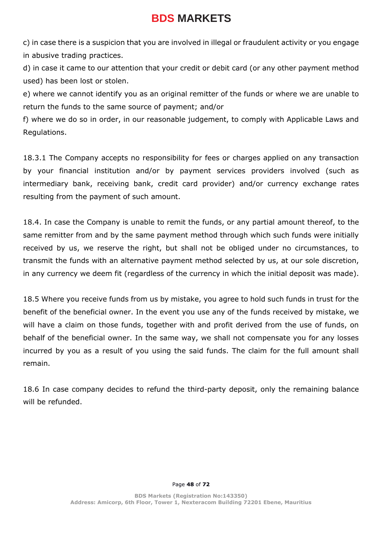c) in case there is a suspicion that you are involved in illegal or fraudulent activity or you engage in abusive trading practices.

d) in case it came to our attention that your credit or debit card (or any other payment method used) has been lost or stolen.

e) where we cannot identify you as an original remitter of the funds or where we are unable to return the funds to the same source of payment; and/or

f) where we do so in order, in our reasonable judgement, to comply with Applicable Laws and Regulations.

18.3.1 The Company accepts no responsibility for fees or charges applied on any transaction by your financial institution and/or by payment services providers involved (such as intermediary bank, receiving bank, credit card provider) and/or currency exchange rates resulting from the payment of such amount.

18.4. In case the Company is unable to remit the funds, or any partial amount thereof, to the same remitter from and by the same payment method through which such funds were initially received by us, we reserve the right, but shall not be obliged under no circumstances, to transmit the funds with an alternative payment method selected by us, at our sole discretion, in any currency we deem fit (regardless of the currency in which the initial deposit was made).

18.5 Where you receive funds from us by mistake, you agree to hold such funds in trust for the benefit of the beneficial owner. In the event you use any of the funds received by mistake, we will have a claim on those funds, together with and profit derived from the use of funds, on behalf of the beneficial owner. In the same way, we shall not compensate you for any losses incurred by you as a result of you using the said funds. The claim for the full amount shall remain.

18.6 In case company decides to refund the third-party deposit, only the remaining balance will be refunded.

#### Page **48** of **72**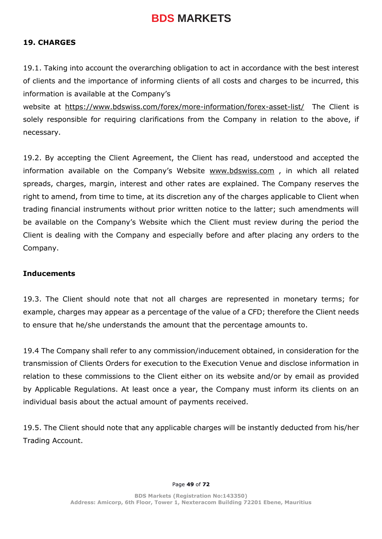#### **19. CHARGES**

19.1. Taking into account the overarching obligation to act in accordance with the best interest of clients and the importance of informing clients of all costs and charges to be incurred, this information is available at the Company's

website at<https://www.bdswiss.com/forex/more-information/forex-asset-list/>The Client is solely responsible for requiring clarifications from the Company in relation to the above, if necessary.

19.2. By accepting the Client Agreement, the Client has read, understood and accepted the information available on the Company's Website [www.bdswiss.com](http://www.bdswiss.com/) , in which all related spreads, charges, margin, interest and other rates are explained. The Company reserves the right to amend, from time to time, at its discretion any of the charges applicable to Client when trading financial instruments without prior written notice to the latter; such amendments will be available on the Company's Website which the Client must review during the period the Client is dealing with the Company and especially before and after placing any orders to the Company.

#### **Inducements**

19.3. The Client should note that not all charges are represented in monetary terms; for example, charges may appear as a percentage of the value of a CFD; therefore the Client needs to ensure that he/she understands the amount that the percentage amounts to.

19.4 The Company shall refer to any commission/inducement obtained, in consideration for the transmission of Clients Orders for execution to the Execution Venue and disclose information in relation to these commissions to the Client either on its website and/or by email as provided by Applicable Regulations. At least once a year, the Company must inform its clients on an individual basis about the actual amount of payments received.

19.5. The Client should note that any applicable charges will be instantly deducted from his/her Trading Account.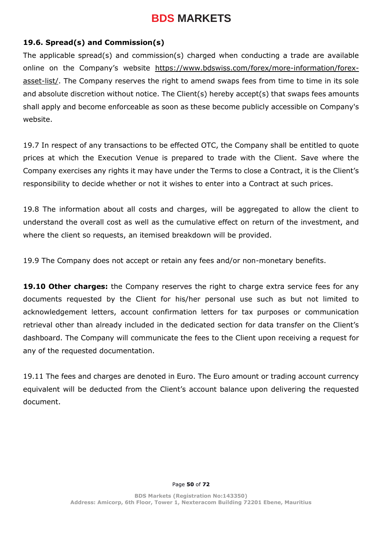#### **19.6. Spread(s) and Commission(s)**

The applicable spread(s) and commission(s) charged when conducting a trade are available online on the Company's website [https://www.bdswiss.com/forex/more-information/forex](https://www.bdswiss.com/forex/more-information/forex-asset-list/)[asset-list/.](https://www.bdswiss.com/forex/more-information/forex-asset-list/) The Company reserves the right to amend swaps fees from time to time in its sole and absolute discretion without notice. The Client(s) hereby accept(s) that swaps fees amounts shall apply and become enforceable as soon as these become publicly accessible on Company's website.

19.7 In respect of any transactions to be effected OTC, the Company shall be entitled to quote prices at which the Execution Venue is prepared to trade with the Client. Save where the Company exercises any rights it may have under the Terms to close a Contract, it is the Client's responsibility to decide whether or not it wishes to enter into a Contract at such prices.

19.8 The information about all costs and charges, will be aggregated to allow the client to understand the overall cost as well as the cumulative effect on return of the investment, and where the client so requests, an itemised breakdown will be provided.

19.9 The Company does not accept or retain any fees and/or non-monetary benefits.

**19.10 Other charges:** the Company reserves the right to charge extra service fees for any documents requested by the Client for his/her personal use such as but not limited to acknowledgement letters, account confirmation letters for tax purposes or communication retrieval other than already included in the dedicated section for data transfer on the Client's dashboard. The Company will communicate the fees to the Client upon receiving a request for any of the requested documentation.

19.11 The fees and charges are denoted in Euro. The Euro amount or trading account currency equivalent will be deducted from the Client's account balance upon delivering the requested document.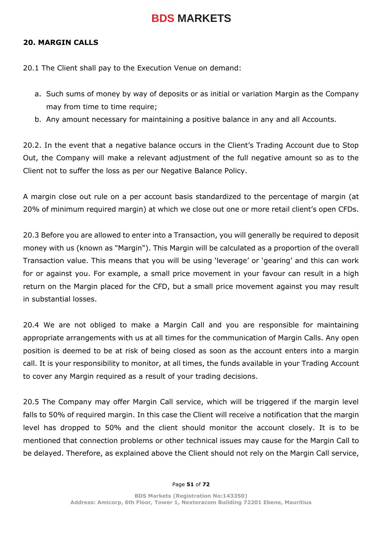#### **20. MARGIN CALLS**

20.1 The Client shall pay to the Execution Venue on demand:

- a. Such sums of money by way of deposits or as initial or variation Margin as the Company may from time to time require;
- b. Any amount necessary for maintaining a positive balance in any and all Accounts.

20.2. In the event that a negative balance occurs in the Client's Trading Account due to Stop Out, the Company will make a relevant adjustment of the full negative amount so as to the Client not to suffer the loss as per our Negative Balance Policy.

A margin close out rule on a per account basis standardized to the percentage of margin (at 20% of minimum required margin) at which we close out one or more retail client's open CFDs.

20.3 Before you are allowed to enter into a Transaction, you will generally be required to deposit money with us (known as "Margin"). This Margin will be calculated as a proportion of the overall Transaction value. This means that you will be using 'leverage' or 'gearing' and this can work for or against you. For example, a small price movement in your favour can result in a high return on the Margin placed for the CFD, but a small price movement against you may result in substantial losses.

20.4 We are not obliged to make a Margin Call and you are responsible for maintaining appropriate arrangements with us at all times for the communication of Margin Calls. Any open position is deemed to be at risk of being closed as soon as the account enters into a margin call. It is your responsibility to monitor, at all times, the funds available in your Trading Account to cover any Margin required as a result of your trading decisions.

20.5 The Company may offer Margin Call service, which will be triggered if the margin level falls to 50% of required margin. In this case the Client will receive a notification that the margin level has dropped to 50% and the client should monitor the account closely. It is to be mentioned that connection problems or other technical issues may cause for the Margin Call to be delayed. Therefore, as explained above the Client should not rely on the Margin Call service,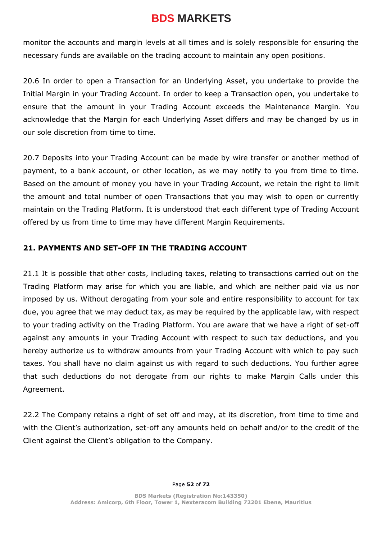monitor the accounts and margin levels at all times and is solely responsible for ensuring the necessary funds are available on the trading account to maintain any open positions.

20.6 In order to open a Transaction for an Underlying Asset, you undertake to provide the Initial Margin in your Trading Account. In order to keep a Transaction open, you undertake to ensure that the amount in your Trading Account exceeds the Maintenance Margin. You acknowledge that the Margin for each Underlying Asset differs and may be changed by us in our sole discretion from time to time.

20.7 Deposits into your Trading Account can be made by wire transfer or another method of payment, to a bank account, or other location, as we may notify to you from time to time. Based on the amount of money you have in your Trading Account, we retain the right to limit the amount and total number of open Transactions that you may wish to open or currently maintain on the Trading Platform. It is understood that each different type of Trading Account offered by us from time to time may have different Margin Requirements.

### **21. PAYMENTS AND SET-OFF IN THE TRADING ACCOUNT**

21.1 It is possible that other costs, including taxes, relating to transactions carried out on the Trading Platform may arise for which you are liable, and which are neither paid via us nor imposed by us. Without derogating from your sole and entire responsibility to account for tax due, you agree that we may deduct tax, as may be required by the applicable law, with respect to your trading activity on the Trading Platform. You are aware that we have a right of set-off against any amounts in your Trading Account with respect to such tax deductions, and you hereby authorize us to withdraw amounts from your Trading Account with which to pay such taxes. You shall have no claim against us with regard to such deductions. You further agree that such deductions do not derogate from our rights to make Margin Calls under this Agreement.

22.2 The Company retains a right of set off and may, at its discretion, from time to time and with the Client's authorization, set-off any amounts held on behalf and/or to the credit of the Client against the Client's obligation to the Company.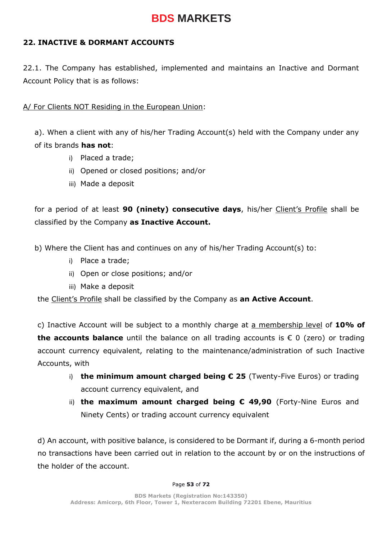### **22. INACTIVE & DORMANT ACCOUNTS**

22.1. The Company has established, implemented and maintains an Inactive and Dormant Account Policy that is as follows:

### A/ For Clients NOT Residing in the European Union:

a). When a client with any of his/her Trading Account(s) held with the Company under any of its brands **has not**:

- i) Placed a trade;
- ii) Opened or closed positions; and/or
- iii) Made a deposit

for a period of at least **90 (ninety) consecutive days**, his/her Client's Profile shall be classified by the Company **as Inactive Account.**

b) Where the Client has and continues on any of his/her Trading Account(s) to:

- i) Place a trade;
- ii) Open or close positions; and/or
- iii) Make a deposit

the Client's Profile shall be classified by the Company as **an Active Account**.

c) Inactive Account will be subject to a monthly charge at a membership level of **10% of the accounts balance** until the balance on all trading accounts is € 0 (zero) or trading account currency equivalent, relating to the maintenance/administration of such Inactive Accounts, with

- i) **the minimum amount charged being € 25** (Twenty-Five Euros) or trading account currency equivalent, and
- ii) **the maximum amount charged being € 49,90** (Forty-Nine Euros and Ninety Cents) or trading account currency equivalent

d) An account, with positive balance, is considered to be Dormant if, during a 6-month period no transactions have been carried out in relation to the account by or on the instructions of the holder of the account.

#### Page **53** of **72**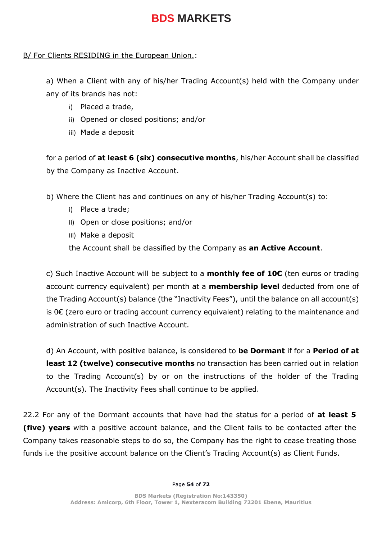### B/ For Clients RESIDING in the European Union.:

a) When a Client with any of his/her Trading Account(s) held with the Company under any of its brands has not:

- i) Placed a trade,
- ii) Opened or closed positions; and/or
- iii) Made a deposit

for a period of **at least 6 (six) consecutive months**, his/her Account shall be classified by the Company as Inactive Account.

b) Where the Client has and continues on any of his/her Trading Account(s) to:

- i) Place a trade;
- ii) Open or close positions; and/or
- iii) Make a deposit

the Account shall be classified by the Company as **an Active Account**.

c) Such Inactive Account will be subject to a **monthly fee of 10€** (ten euros or trading account currency equivalent) per month at a **membership level** deducted from one of the Trading Account(s) balance (the "Inactivity Fees"), until the balance on all account(s) is 0€ (zero euro or trading account currency equivalent) relating to the maintenance and administration of such Inactive Account.

d) An Account, with positive balance, is considered to **be Dormant** if for a **Period of at least 12 (twelve) consecutive months** no transaction has been carried out in relation to the Trading Account(s) by or on the instructions of the holder of the Trading Account(s). The Inactivity Fees shall continue to be applied.

22.2 For any of the Dormant accounts that have had the status for a period of **at least 5 (five) years** with a positive account balance, and the Client fails to be contacted after the Company takes reasonable steps to do so, the Company has the right to cease treating those funds i.e the positive account balance on the Client's Trading Account(s) as Client Funds.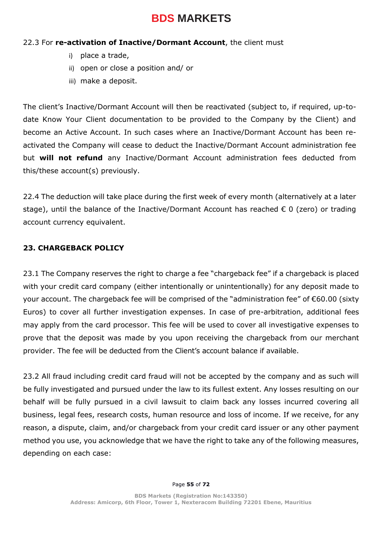#### 22.3 For **re-activation of Inactive/Dormant Account**, the client must

- i) place a trade,
- ii) open or close a position and/ or
- iii) make a deposit.

The client's Inactive/Dormant Account will then be reactivated (subject to, if required, up-todate Know Your Client documentation to be provided to the Company by the Client) and become an Active Account. In such cases where an Inactive/Dormant Account has been reactivated the Company will cease to deduct the Inactive/Dormant Account administration fee but **will not refund** any Inactive/Dormant Account administration fees deducted from this/these account(s) previously.

22.4 The deduction will take place during the first week of every month (alternatively at a later stage), until the balance of the Inactive/Dormant Account has reached € 0 (zero) or trading account currency equivalent.

### **23. CHARGEBACK POLICY**

23.1 The Company reserves the right to charge a fee "chargeback fee" if a chargeback is placed with your credit card company (either intentionally or unintentionally) for any deposit made to your account. The chargeback fee will be comprised of the "administration fee" of €60.00 (sixty Euros) to cover all further investigation expenses. In case of pre-arbitration, additional fees may apply from the card processor. This fee will be used to cover all investigative expenses to prove that the deposit was made by you upon receiving the chargeback from our merchant provider. The fee will be deducted from the Client's account balance if available.

23.2 All fraud including credit card fraud will not be accepted by the company and as such will be fully investigated and pursued under the law to its fullest extent. Any losses resulting on our behalf will be fully pursued in a civil lawsuit to claim back any losses incurred covering all business, legal fees, research costs, human resource and loss of income. If we receive, for any reason, a dispute, claim, and/or chargeback from your credit card issuer or any other payment method you use, you acknowledge that we have the right to take any of the following measures, depending on each case: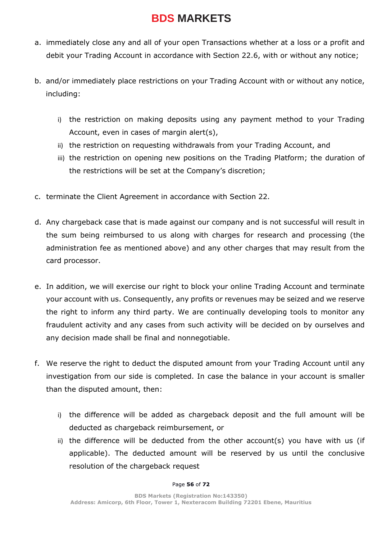- a. immediately close any and all of your open Transactions whether at a loss or a profit and debit your Trading Account in accordance with Section 22.6, with or without any notice;
- b. and/or immediately place restrictions on your Trading Account with or without any notice, including:
	- i) the restriction on making deposits using any payment method to your Trading Account, even in cases of margin alert(s),
	- ii) the restriction on requesting withdrawals from your Trading Account, and
	- iii) the restriction on opening new positions on the Trading Platform; the duration of the restrictions will be set at the Company's discretion;
- c. terminate the Client Agreement in accordance with Section 22.
- d. Any chargeback case that is made against our company and is not successful will result in the sum being reimbursed to us along with charges for research and processing (the administration fee as mentioned above) and any other charges that may result from the card processor.
- e. In addition, we will exercise our right to block your online Trading Account and terminate your account with us. Consequently, any profits or revenues may be seized and we reserve the right to inform any third party. We are continually developing tools to monitor any fraudulent activity and any cases from such activity will be decided on by ourselves and any decision made shall be final and nonnegotiable.
- f. We reserve the right to deduct the disputed amount from your Trading Account until any investigation from our side is completed. In case the balance in your account is smaller than the disputed amount, then:
	- i) the difference will be added as chargeback deposit and the full amount will be deducted as chargeback reimbursement, or
	- ii) the difference will be deducted from the other account(s) you have with us (if applicable). The deducted amount will be reserved by us until the conclusive resolution of the chargeback request

#### Page **56** of **72**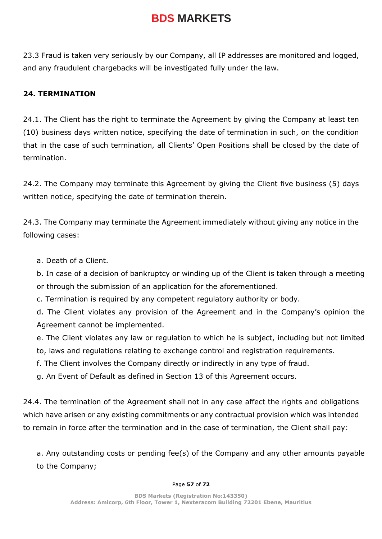23.3 Fraud is taken very seriously by our Company, all IP addresses are monitored and logged, and any fraudulent chargebacks will be investigated fully under the law.

### **24. TERMINATION**

24.1. The Client has the right to terminate the Agreement by giving the Company at least ten (10) business days written notice, specifying the date of termination in such, on the condition that in the case of such termination, all Clients' Open Positions shall be closed by the date of termination.

24.2. The Company may terminate this Agreement by giving the Client five business (5) days written notice, specifying the date of termination therein.

24.3. The Company may terminate the Agreement immediately without giving any notice in the following cases:

a. Death of a Client.

b. In case of a decision of bankruptcy or winding up of the Client is taken through a meeting or through the submission of an application for the aforementioned.

c. Termination is required by any competent regulatory authority or body.

d. The Client violates any provision of the Agreement and in the Company's opinion the Agreement cannot be implemented.

e. The Client violates any law or regulation to which he is subject, including but not limited to, laws and regulations relating to exchange control and registration requirements.

f. The Client involves the Company directly or indirectly in any type of fraud.

g. An Event of Default as defined in Section 13 of this Agreement occurs.

24.4. The termination of the Agreement shall not in any case affect the rights and obligations which have arisen or any existing commitments or any contractual provision which was intended to remain in force after the termination and in the case of termination, the Client shall pay:

a. Any outstanding costs or pending fee(s) of the Company and any other amounts payable to the Company;

#### Page **57** of **72**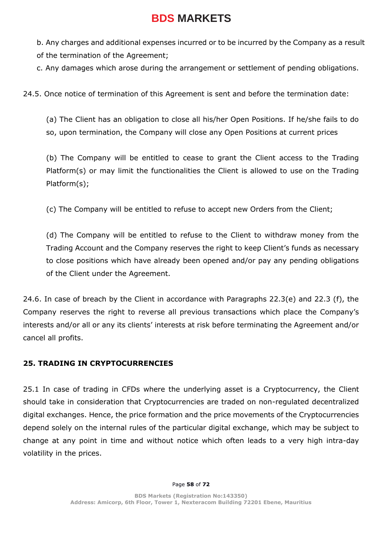b. Any charges and additional expenses incurred or to be incurred by the Company as a result of the termination of the Agreement;

c. Any damages which arose during the arrangement or settlement of pending obligations.

24.5. Once notice of termination of this Agreement is sent and before the termination date:

(a) The Client has an obligation to close all his/her Open Positions. If he/she fails to do so, upon termination, the Company will close any Open Positions at current prices

(b) The Company will be entitled to cease to grant the Client access to the Trading Platform(s) or may limit the functionalities the Client is allowed to use on the Trading Platform(s);

(c) The Company will be entitled to refuse to accept new Orders from the Client;

(d) The Company will be entitled to refuse to the Client to withdraw money from the Trading Account and the Company reserves the right to keep Client's funds as necessary to close positions which have already been opened and/or pay any pending obligations of the Client under the Agreement.

24.6. In case of breach by the Client in accordance with Paragraphs 22.3(e) and 22.3 (f), the Company reserves the right to reverse all previous transactions which place the Company's interests and/or all or any its clients' interests at risk before terminating the Agreement and/or cancel all profits.

### **25. TRADING IN CRYPTOCURRENCIES**

25.1 In case of trading in CFDs where the underlying asset is a Cryptocurrency, the Client should take in consideration that Cryptocurrencies are traded on non-regulated decentralized digital exchanges. Hence, the price formation and the price movements of the Cryptocurrencies depend solely on the internal rules of the particular digital exchange, which may be subject to change at any point in time and without notice which often leads to a very high intra-day volatility in the prices.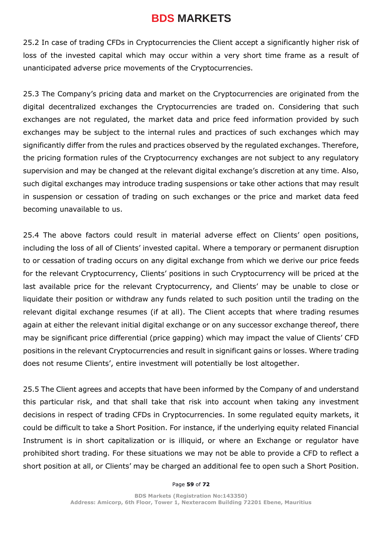25.2 In case of trading CFDs in Cryptocurrencies the Client accept a significantly higher risk of loss of the invested capital which may occur within a very short time frame as a result of unanticipated adverse price movements of the Cryptocurrencies.

25.3 The Company's pricing data and market on the Cryptocurrencies are originated from the digital decentralized exchanges the Cryptocurrencies are traded on. Considering that such exchanges are not regulated, the market data and price feed information provided by such exchanges may be subject to the internal rules and practices of such exchanges which may significantly differ from the rules and practices observed by the regulated exchanges. Therefore, the pricing formation rules of the Cryptocurrency exchanges are not subject to any regulatory supervision and may be changed at the relevant digital exchange's discretion at any time. Also, such digital exchanges may introduce trading suspensions or take other actions that may result in suspension or cessation of trading on such exchanges or the price and market data feed becoming unavailable to us.

25.4 The above factors could result in material adverse effect on Clients' open positions, including the loss of all of Clients' invested capital. Where a temporary or permanent disruption to or cessation of trading occurs on any digital exchange from which we derive our price feeds for the relevant Cryptocurrency, Clients' positions in such Cryptocurrency will be priced at the last available price for the relevant Cryptocurrency, and Clients' may be unable to close or liquidate their position or withdraw any funds related to such position until the trading on the relevant digital exchange resumes (if at all). The Client accepts that where trading resumes again at either the relevant initial digital exchange or on any successor exchange thereof, there may be significant price differential (price gapping) which may impact the value of Clients' CFD positions in the relevant Cryptocurrencies and result in significant gains or losses. Where trading does not resume Clients', entire investment will potentially be lost altogether.

25.5 The Client agrees and accepts that have been informed by the Company of and understand this particular risk, and that shall take that risk into account when taking any investment decisions in respect of trading CFDs in Cryptocurrencies. In some regulated equity markets, it could be difficult to take a Short Position. For instance, if the underlying equity related Financial Instrument is in short capitalization or is illiquid, or where an Exchange or regulator have prohibited short trading. For these situations we may not be able to provide a CFD to reflect a short position at all, or Clients' may be charged an additional fee to open such a Short Position.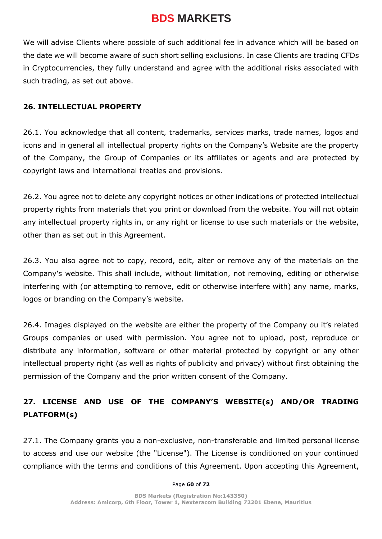We will advise Clients where possible of such additional fee in advance which will be based on the date we will become aware of such short selling exclusions. In case Clients are trading CFDs in Cryptocurrencies, they fully understand and agree with the additional risks associated with such trading, as set out above.

#### **26. INTELLECTUAL PROPERTY**

26.1. You acknowledge that all content, trademarks, services marks, trade names, logos and icons and in general all intellectual property rights on the Company's Website are the property of the Company, the Group of Companies or its affiliates or agents and are protected by copyright laws and international treaties and provisions.

26.2. You agree not to delete any copyright notices or other indications of protected intellectual property rights from materials that you print or download from the website. You will not obtain any intellectual property rights in, or any right or license to use such materials or the website, other than as set out in this Agreement.

26.3. You also agree not to copy, record, edit, alter or remove any of the materials on the Company's website. This shall include, without limitation, not removing, editing or otherwise interfering with (or attempting to remove, edit or otherwise interfere with) any name, marks, logos or branding on the Company's website.

26.4. Images displayed on the website are either the property of the Company ou it's related Groups companies or used with permission. You agree not to upload, post, reproduce or distribute any information, software or other material protected by copyright or any other intellectual property right (as well as rights of publicity and privacy) without first obtaining the permission of the Company and the prior written consent of the Company.

### **27. LICENSE AND USE OF THE COMPANY'S WEBSITE(s) AND/OR TRADING PLATFORM(s)**

27.1. The Company grants you a non-exclusive, non-transferable and limited personal license to access and use our website (the "License"). The License is conditioned on your continued compliance with the terms and conditions of this Agreement. Upon accepting this Agreement,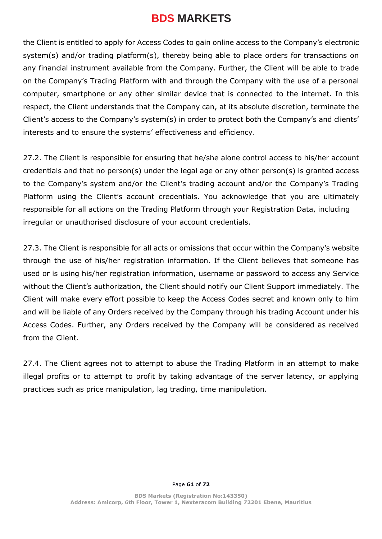the Client is entitled to apply for Access Codes to gain online access to the Company's electronic system(s) and/or trading platform(s), thereby being able to place orders for transactions on any financial instrument available from the Company. Further, the Client will be able to trade on the Company's Trading Platform with and through the Company with the use of a personal computer, smartphone or any other similar device that is connected to the internet. In this respect, the Client understands that the Company can, at its absolute discretion, terminate the Client's access to the Company's system(s) in order to protect both the Company's and clients' interests and to ensure the systems' effectiveness and efficiency.

27.2. The Client is responsible for ensuring that he/she alone control access to his/her account credentials and that no person(s) under the legal age or any other person(s) is granted access to the Company's system and/or the Client's trading account and/or the Company's Trading Platform using the Client's account credentials. You acknowledge that you are ultimately responsible for all actions on the Trading Platform through your Registration Data, including irregular or unauthorised disclosure of your account credentials.

27.3. The Client is responsible for all acts or omissions that occur within the Company's website through the use of his/her registration information. If the Client believes that someone has used or is using his/her registration information, username or password to access any Service without the Client's authorization, the Client should notify our Client Support immediately. The Client will make every effort possible to keep the Access Codes secret and known only to him and will be liable of any Orders received by the Company through his trading Account under his Access Codes. Further, any Orders received by the Company will be considered as received from the Client.

27.4. The Client agrees not to attempt to abuse the Trading Platform in an attempt to make illegal profits or to attempt to profit by taking advantage of the server latency, or applying practices such as price manipulation, lag trading, time manipulation.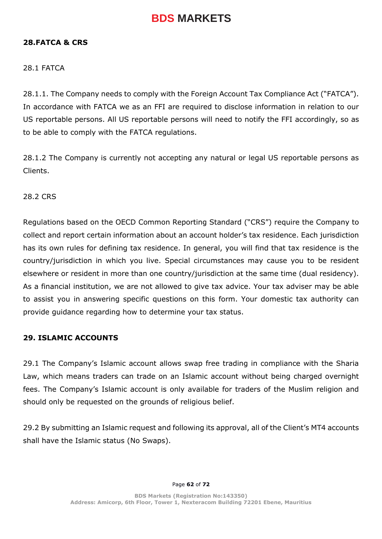#### **28.FATCA & CRS**

#### 28.1 FATCA

28.1.1. The Company needs to comply with the Foreign Account Tax Compliance Act ("FATCA"). In accordance with FATCA we as an FFI are required to disclose information in relation to our US reportable persons. All US reportable persons will need to notify the FFI accordingly, so as to be able to comply with the FATCA regulations.

28.1.2 The Company is currently not accepting any natural or legal US reportable persons as Clients.

28.2 CRS

Regulations based on the OECD Common Reporting Standard ("CRS") require the Company to collect and report certain information about an account holder's tax residence. Each jurisdiction has its own rules for defining tax residence. In general, you will find that tax residence is the country/jurisdiction in which you live. Special circumstances may cause you to be resident elsewhere or resident in more than one country/jurisdiction at the same time (dual residency). As a financial institution, we are not allowed to give tax advice. Your tax adviser may be able to assist you in answering specific questions on this form. Your domestic tax authority can provide guidance regarding how to determine your tax status.

#### **29. ISLAMIC ACCOUNTS**

29.1 The Company's Islamic account allows swap free trading in compliance with the Sharia Law, which means traders can trade on an Islamic account without being charged overnight fees. The Company's Islamic account is only available for traders of the Muslim religion and should only be requested on the grounds of religious belief.

29.2 By submitting an Islamic request and following its approval, all of the Client's MT4 accounts shall have the Islamic status (No Swaps).

Page **62** of **72**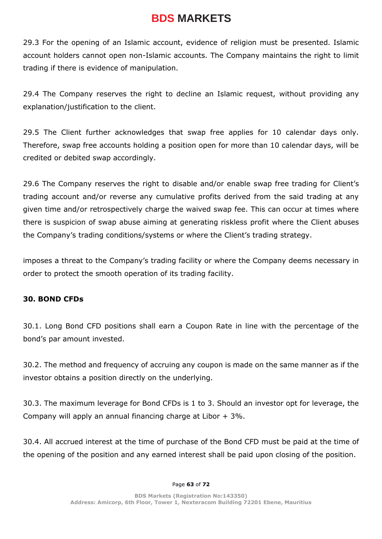29.3 For the opening of an Islamic account, evidence of religion must be presented. Islamic account holders cannot open non-Islamic accounts. The Company maintains the right to limit trading if there is evidence of manipulation.

29.4 The Company reserves the right to decline an Islamic request, without providing any explanation/justification to the client.

29.5 The Client further acknowledges that swap free applies for 10 calendar days only. Therefore, swap free accounts holding a position open for more than 10 calendar days, will be credited or debited swap accordingly.

29.6 The Company reserves the right to disable and/or enable swap free trading for Client's trading account and/or reverse any cumulative profits derived from the said trading at any given time and/or retrospectively charge the waived swap fee. This can occur at times where there is suspicion of swap abuse aiming at generating riskless profit where the Client abuses the Company's trading conditions/systems or where the Client's trading strategy.

imposes a threat to the Company's trading facility or where the Company deems necessary in order to protect the smooth operation of its trading facility.

#### **30. BOND CFDs**

30.1. Long Bond CFD positions shall earn a Coupon Rate in line with the percentage of the bond's par amount invested.

30.2. The method and frequency of accruing any coupon is made on the same manner as if the investor obtains a position directly on the underlying.

30.3. The maximum leverage for Bond CFDs is 1 to 3. Should an investor opt for leverage, the Company will apply an annual financing charge at Libor  $+3\%$ .

30.4. All accrued interest at the time of purchase of the Bond CFD must be paid at the time of the opening of the position and any earned interest shall be paid upon closing of the position.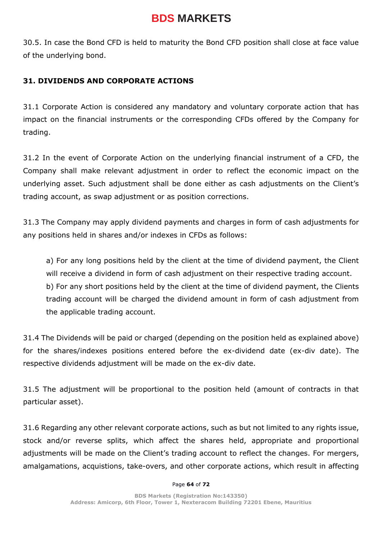30.5. In case the Bond CFD is held to maturity the Bond CFD position shall close at face value of the underlying bond.

### **31. DIVIDENDS AND CORPORATE ACTIONS**

31.1 Corporate Action is considered any mandatory and voluntary corporate action that has impact on the financial instruments or the corresponding CFDs offered by the Company for trading.

31.2 In the event of Corporate Action on the underlying financial instrument of a CFD, the Company shall make relevant adjustment in order to reflect the economic impact on the underlying asset. Such adjustment shall be done either as cash adjustments on the Client's trading account, as swap adjustment or as position corrections.

31.3 The Company may apply dividend payments and charges in form of cash adjustments for any positions held in shares and/or indexes in CFDs as follows:

a) For any long positions held by the client at the time of dividend payment, the Client will receive a dividend in form of cash adjustment on their respective trading account. b) For any short positions held by the client at the time of dividend payment, the Clients trading account will be charged the dividend amount in form of cash adjustment from the applicable trading account.

31.4 The Dividends will be paid or charged (depending on the position held as explained above) for the shares/indexes positions entered before the ex-dividend date (ex-div date). The respective dividends adjustment will be made on the ex-div date.

31.5 The adjustment will be proportional to the position held (amount of contracts in that particular asset).

31.6 Regarding any other relevant corporate actions, such as but not limited to any rights issue, stock and/or reverse splits, which affect the shares held, appropriate and proportional adjustments will be made on the Client's trading account to reflect the changes. For mergers, amalgamations, acquistions, take-overs, and other corporate actions, which result in affecting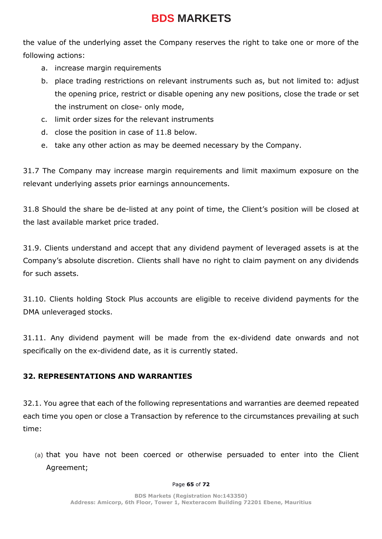the value of the underlying asset the Company reserves the right to take one or more of the following actions:

- a. increase margin requirements
- b. place trading restrictions on relevant instruments such as, but not limited to: adjust the opening price, restrict or disable opening any new positions, close the trade or set the instrument on close- only mode,
- c. limit order sizes for the relevant instruments
- d. close the position in case of 11.8 below.
- e. take any other action as may be deemed necessary by the Company.

31.7 The Company may increase margin requirements and limit maximum exposure on the relevant underlying assets prior earnings announcements.

31.8 Should the share be de-listed at any point of time, the Client's position will be closed at the last available market price traded.

31.9. Clients understand and accept that any dividend payment of leveraged assets is at the Company's absolute discretion. Clients shall have no right to claim payment on any dividends for such assets.

31.10. Clients holding Stock Plus accounts are eligible to receive dividend payments for the DMA unleveraged stocks.

31.11. Any dividend payment will be made from the ex-dividend date onwards and not specifically on the ex-dividend date, as it is currently stated.

### **32. REPRESENTATIONS AND WARRANTIES**

32.1. You agree that each of the following representations and warranties are deemed repeated each time you open or close a Transaction by reference to the circumstances prevailing at such time:

(a) that you have not been coerced or otherwise persuaded to enter into the Client Agreement;

#### Page **65** of **72**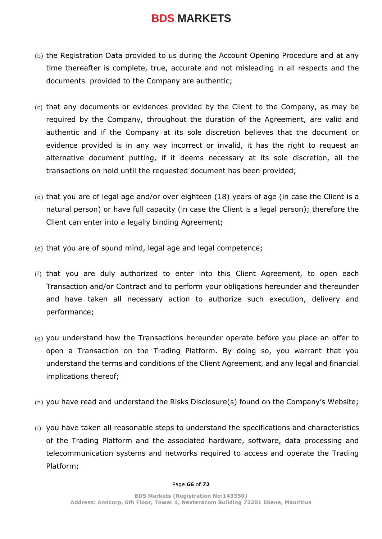- (b) the Registration Data provided to us during the Account Opening Procedure and at any time thereafter is complete, true, accurate and not misleading in all respects and the documents provided to the Company are authentic;
- (c) that any documents or evidences provided by the Client to the Company, as may be required by the Company, throughout the duration of the Agreement, are valid and authentic and if the Company at its sole discretion believes that the document or evidence provided is in any way incorrect or invalid, it has the right to request an alternative document putting, if it deems necessary at its sole discretion, all the transactions on hold until the requested document has been provided;
- (d) that you are of legal age and/or over eighteen (18) years of age (in case the Client is a natural person) or have full capacity (in case the Client is a legal person); therefore the Client can enter into a legally binding Agreement;
- (e) that you are of sound mind, legal age and legal competence;
- (f) that you are duly authorized to enter into this Client Agreement, to open each Transaction and/or Contract and to perform your obligations hereunder and thereunder and have taken all necessary action to authorize such execution, delivery and performance;
- (g) you understand how the Transactions hereunder operate before you place an offer to open a Transaction on the Trading Platform. By doing so, you warrant that you understand the terms and conditions of the Client Agreement, and any legal and financial implications thereof;
- (h) you have read and understand the Risks Disclosure(s) found on the Company's Website;
- (i) you have taken all reasonable steps to understand the specifications and characteristics of the Trading Platform and the associated hardware, software, data processing and telecommunication systems and networks required to access and operate the Trading Platform;

#### Page **66** of **72**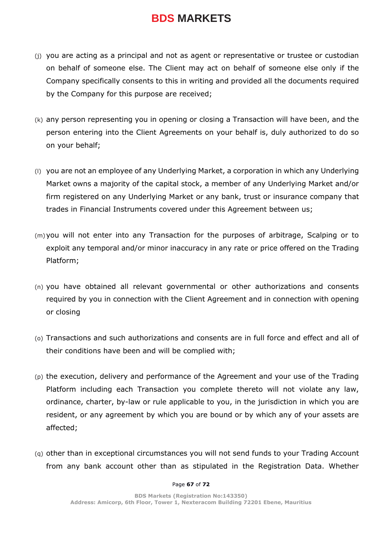- (j) you are acting as a principal and not as agent or representative or trustee or custodian on behalf of someone else. The Client may act on behalf of someone else only if the Company specifically consents to this in writing and provided all the documents required by the Company for this purpose are received;
- (k) any person representing you in opening or closing a Transaction will have been, and the person entering into the Client Agreements on your behalf is, duly authorized to do so on your behalf;
- (l) you are not an employee of any Underlying Market, a corporation in which any Underlying Market owns a majority of the capital stock, a member of any Underlying Market and/or firm registered on any Underlying Market or any bank, trust or insurance company that trades in Financial Instruments covered under this Agreement between us;
- (m)you will not enter into any Transaction for the purposes of arbitrage, Scalping or to exploit any temporal and/or minor inaccuracy in any rate or price offered on the Trading Platform;
- (n) you have obtained all relevant governmental or other authorizations and consents required by you in connection with the Client Agreement and in connection with opening or closing
- (o) Transactions and such authorizations and consents are in full force and effect and all of their conditions have been and will be complied with;
- (p) the execution, delivery and performance of the Agreement and your use of the Trading Platform including each Transaction you complete thereto will not violate any law, ordinance, charter, by-law or rule applicable to you, in the jurisdiction in which you are resident, or any agreement by which you are bound or by which any of your assets are affected;
- (q) other than in exceptional circumstances you will not send funds to your Trading Account from any bank account other than as stipulated in the Registration Data. Whether

#### Page **67** of **72**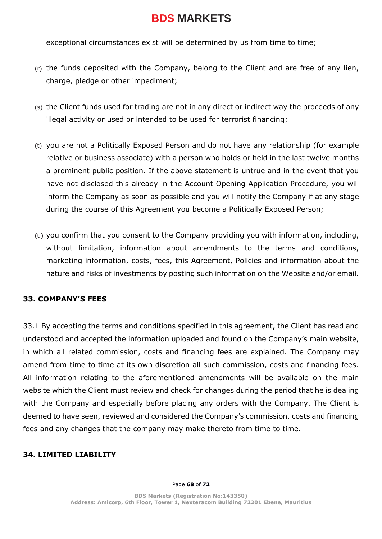exceptional circumstances exist will be determined by us from time to time;

- (r) the funds deposited with the Company, belong to the Client and are free of any lien, charge, pledge or other impediment;
- (s) the Client funds used for trading are not in any direct or indirect way the proceeds of any illegal activity or used or intended to be used for terrorist financing;
- (t) you are not a Politically Exposed Person and do not have any relationship (for example relative or business associate) with a person who holds or held in the last twelve months a prominent public position. If the above statement is untrue and in the event that you have not disclosed this already in the Account Opening Application Procedure, you will inform the Company as soon as possible and you will notify the Company if at any stage during the course of this Agreement you become a Politically Exposed Person;
- (u) you confirm that you consent to the Company providing you with information, including, without limitation, information about amendments to the terms and conditions, marketing information, costs, fees, this Agreement, Policies and information about the nature and risks of investments by posting such information on the Website and/or email.

### **33. COMPANY'S FEES**

33.1 By accepting the terms and conditions specified in this agreement, the Client has read and understood and accepted the information uploaded and found on the Company's main website, in which all related commission, costs and financing fees are explained. The Company may amend from time to time at its own discretion all such commission, costs and financing fees. All information relating to the aforementioned amendments will be available on the main website which the Client must review and check for changes during the period that he is dealing with the Company and especially before placing any orders with the Company. The Client is deemed to have seen, reviewed and considered the Company's commission, costs and financing fees and any changes that the company may make thereto from time to time.

### **34. LIMITED LIABILITY**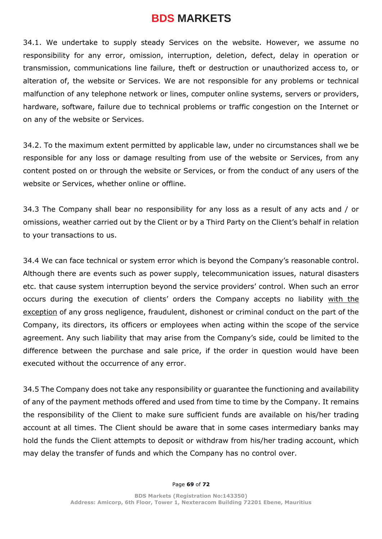34.1. We undertake to supply steady Services on the website. However, we assume no responsibility for any error, omission, interruption, deletion, defect, delay in operation or transmission, communications line failure, theft or destruction or unauthorized access to, or alteration of, the website or Services. We are not responsible for any problems or technical malfunction of any telephone network or lines, computer online systems, servers or providers, hardware, software, failure due to technical problems or traffic congestion on the Internet or on any of the website or Services.

34.2. To the maximum extent permitted by applicable law, under no circumstances shall we be responsible for any loss or damage resulting from use of the website or Services, from any content posted on or through the website or Services, or from the conduct of any users of the website or Services, whether online or offline.

34.3 The Company shall bear no responsibility for any loss as a result of any acts and / or omissions, weather carried out by the Client or by a Third Party on the Client's behalf in relation to your transactions to us.

34.4 We can face technical or system error which is beyond the Company's reasonable control. Although there are events such as power supply, telecommunication issues, natural disasters etc. that cause system interruption beyond the service providers' control. When such an error occurs during the execution of clients' orders the Company accepts no liability with the exception of any gross negligence, fraudulent, dishonest or criminal conduct on the part of the Company, its directors, its officers or employees when acting within the scope of the service agreement. Any such liability that may arise from the Company's side, could be limited to the difference between the purchase and sale price, if the order in question would have been executed without the occurrence of any error.

34.5 The Company does not take any responsibility or guarantee the functioning and availability of any of the payment methods offered and used from time to time by the Company. It remains the responsibility of the Client to make sure sufficient funds are available on his/her trading account at all times. The Client should be aware that in some cases intermediary banks may hold the funds the Client attempts to deposit or withdraw from his/her trading account, which may delay the transfer of funds and which the Company has no control over.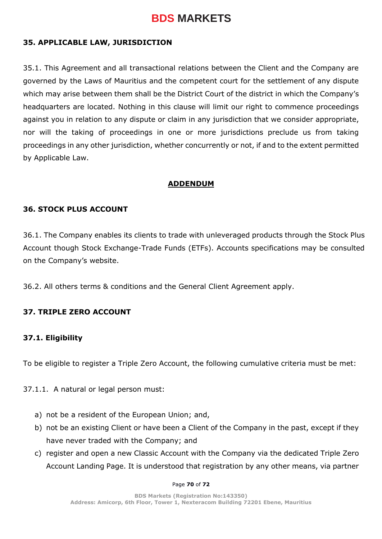### **35. APPLICABLE LAW, JURISDICTION**

35.1. This Agreement and all transactional relations between the Client and the Company are governed by the Laws of Mauritius and the competent court for the settlement of any dispute which may arise between them shall be the District Court of the district in which the Company's headquarters are located. Nothing in this clause will limit our right to commence proceedings against you in relation to any dispute or claim in any jurisdiction that we consider appropriate, nor will the taking of proceedings in one or more jurisdictions preclude us from taking proceedings in any other jurisdiction, whether concurrently or not, if and to the extent permitted by Applicable Law.

#### **ADDENDUM**

#### **36. STOCK PLUS ACCOUNT**

36.1. The Company enables its clients to trade with unleveraged products through the Stock Plus Account though Stock Exchange-Trade Funds (ETFs). Accounts specifications may be consulted on the Company's website.

36.2. All others terms & conditions and the General Client Agreement apply.

#### **37. TRIPLE ZERO ACCOUNT**

#### **37.1. Eligibility**

To be eligible to register a Triple Zero Account, the following cumulative criteria must be met:

37.1.1. A natural or legal person must:

- a) not be a resident of the European Union; and,
- b) not be an existing Client or have been a Client of the Company in the past, except if they have never traded with the Company; and
- c) register and open a new Classic Account with the Company via the dedicated Triple Zero Account Landing Page. It is understood that registration by any other means, via partner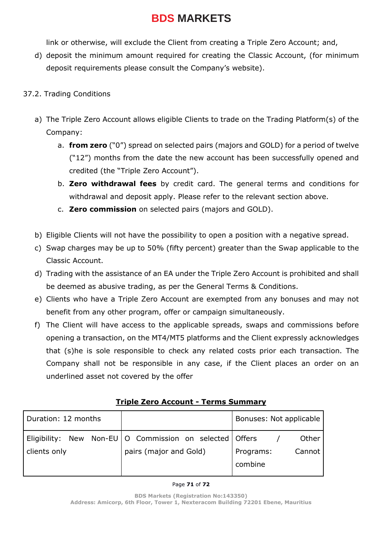link or otherwise, will exclude the Client from creating a Triple Zero Account; and,

d) deposit the minimum amount required for creating the Classic Account, (for minimum deposit requirements please consult the Company's website).

#### 37.2. Trading Conditions

- a) The Triple Zero Account allows eligible Clients to trade on the Trading Platform(s) of the Company:
	- a. **from zero** ("0") spread on selected pairs (majors and GOLD) for a period of twelve ("12") months from the date the new account has been successfully opened and credited (the "Triple Zero Account").
	- b. **Zero withdrawal fees** by credit card. The general terms and conditions for withdrawal and deposit apply. Please refer to the relevant section above.
	- c. **Zero commission** on selected pairs (majors and GOLD).
- b) Eligible Clients will not have the possibility to open a position with a negative spread.
- c) Swap charges may be up to 50% (fifty percent) greater than the Swap applicable to the Classic Account.
- d) Trading with the assistance of an EA under the Triple Zero Account is prohibited and shall be deemed as abusive trading, as per the General Terms & Conditions.
- e) Clients who have a Triple Zero Account are exempted from any bonuses and may not benefit from any other program, offer or campaign simultaneously.
- f) The Client will have access to the applicable spreads, swaps and commissions before opening a transaction, on the MT4/MT5 platforms and the Client expressly acknowledges that (s)he is sole responsible to check any related costs prior each transaction. The Company shall not be responsible in any case, if the Client places an order on an underlined asset not covered by the offer

| Duration: 12 months |                                                                                       | Bonuses: Not applicable                 |
|---------------------|---------------------------------------------------------------------------------------|-----------------------------------------|
| clients only        | Eligibility: New Non-EU   O Commission on selected   Offers<br>pairs (major and Gold) | Other<br>Cannot<br>Programs:<br>combine |

#### **Triple Zero Account - Terms Summary**